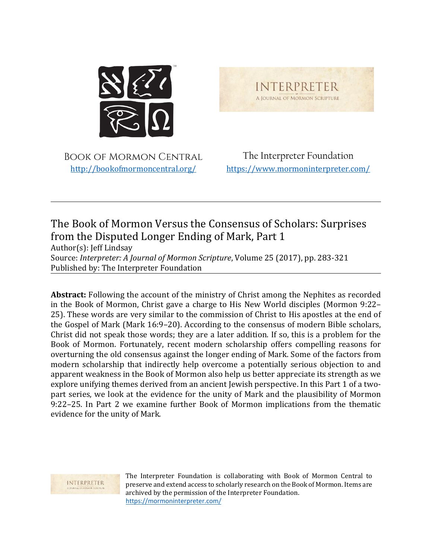

**INTERPRETER** A JOURNAL OF MORMON SCRIPTURE

Book of Mormon Central [http://bookofmormoncentral.org/](http://bookofmormoncentral.com/)

The Interpreter Foundation <https://www.mormoninterpreter.com/>

### The Book of Mormon Versus the Consensus of Scholars: Surprises from the Disputed Longer Ending of Mark, Part 1

Author(s): Jeff Lindsay Source: *Interpreter: A Journal of Mormon Scripture*, Volume 25 (2017), pp. 283-321 Published by: The Interpreter Foundation

**Abstract:** Following the account of the ministry of Christ among the Nephites as recorded in the Book of Mormon, Christ gave a charge to His New World disciples (Mormon 9:22– 25). These words are very similar to the commission of Christ to His apostles at the end of the Gospel of Mark (Mark 16:9–20). According to the consensus of modern Bible scholars, Christ did not speak those words; they are a later addition. If so, this is a problem for the Book of Mormon. Fortunately, recent modern scholarship offers compelling reasons for overturning the old consensus against the longer ending of Mark. Some of the factors from modern scholarship that indirectly help overcome a potentially serious objection to and apparent weakness in the Book of Mormon also help us better appreciate its strength as we explore unifying themes derived from an ancient Jewish perspective. In this Part 1 of a twopart series, we look at the evidence for the unity of Mark and the plausibility of Mormon 9:22–25. In Part 2 we examine further Book of Mormon implications from the thematic evidence for the unity of Mark.



The Interpreter Foundation is collaborating with Book of Mormon Central to preserve and extend access to scholarly research on the Book of Mormon. Items are archived by the permission of the Interpreter Foundation. <https://mormoninterpreter.com/>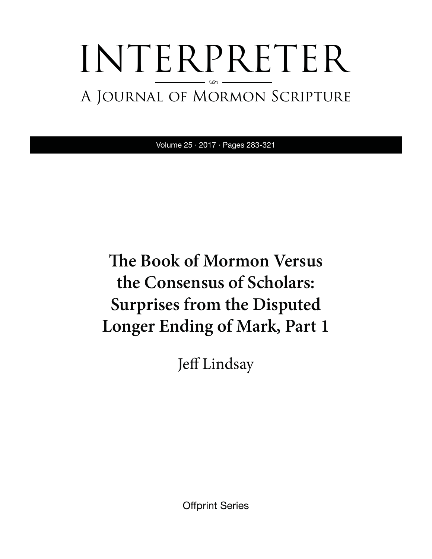# INTERPRETER A Journal of Mormon Scripture §

Volume 25 · 2017 · Pages 283-321

# **The Book of Mormon Versus the Consensus of Scholars: Surprises from the Disputed Longer Ending of Mark, Part 1**

Jeff Lindsay

Offprint Series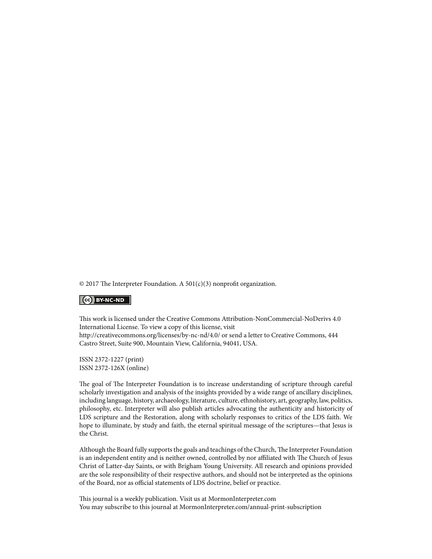© 2017 The Interpreter Foundation. A 501(c)(3) nonprofit organization.

#### $|$  (cc) BY-NC-ND

This work is licensed under the Creative Commons Attribution-NonCommercial-NoDerivs 4.0 International License. To view a copy of this license, visit http://creativecommons.org/licenses/by-nc-nd/4.0/ or send a letter to Creative Commons, 444 Castro Street, Suite 900, Mountain View, California, 94041, USA.

ISSN 2372-1227 (print) ISSN 2372-126X (online)

The goal of The Interpreter Foundation is to increase understanding of scripture through careful scholarly investigation and analysis of the insights provided by a wide range of ancillary disciplines, including language, history, archaeology, literature, culture, ethnohistory, art, geography, law, politics, philosophy, etc. Interpreter will also publish articles advocating the authenticity and historicity of LDS scripture and the Restoration, along with scholarly responses to critics of the LDS faith. We hope to illuminate, by study and faith, the eternal spiritual message of the scriptures—that Jesus is the Christ.

Although the Board fully supports the goals and teachings of the Church, The Interpreter Foundation is an independent entity and is neither owned, controlled by nor affiliated with The Church of Jesus Christ of Latter-day Saints, or with Brigham Young University. All research and opinions provided are the sole responsibility of their respective authors, and should not be interpreted as the opinions of the Board, nor as official statements of LDS doctrine, belief or practice.

This journal is a weekly publication. Visit us at MormonInterpreter.com You may subscribe to this journal at MormonInterpreter.com/annual-print-subscription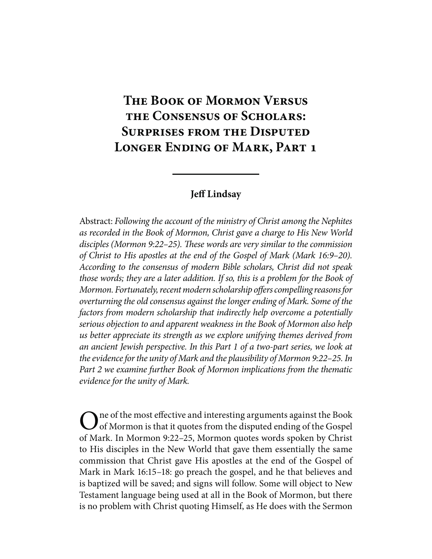## **The Book of Mormon Versus the Consensus of Scholars: Surprises from the Disputed Longer Ending of Mark, Part 1**

#### **Jeff Lindsay**

Abstract: *Following the account of the ministry of Christ among the Nephites as recorded in the Book of Mormon, Christ gave a charge to His New World disciples (Mormon 9:22–25). These words are very similar to the commission of Christ to His apostles at the end of the Gospel of Mark (Mark 16:9–20). According to the consensus of modern Bible scholars, Christ did not speak those words; they are a later addition. If so, this is a problem for the Book of Mormon. Fortunately, recent modern scholarship offers compelling reasons for overturning the old consensus against the longer ending of Mark. Some of the factors from modern scholarship that indirectly help overcome a potentially serious objection to and apparent weakness in the Book of Mormon also help us better appreciate its strength as we explore unifying themes derived from an ancient Jewish perspective. In this Part 1 of a two-part series, we look at the evidence for the unity of Mark and the plausibility of Mormon 9:22–25. In Part 2 we examine further Book of Mormon implications from the thematic evidence for the unity of Mark.*

 $\blacksquare$  ne of the most effective and interesting arguments against the Book of Mormon is that it quotes from the disputed ending of the Gospel of Mark. In Mormon 9:22–25, Mormon quotes words spoken by Christ to His disciples in the New World that gave them essentially the same commission that Christ gave His apostles at the end of the Gospel of Mark in Mark 16:15–18: go preach the gospel, and he that believes and is baptized will be saved; and signs will follow. Some will object to New Testament language being used at all in the Book of Mormon, but there is no problem with Christ quoting Himself, as He does with the Sermon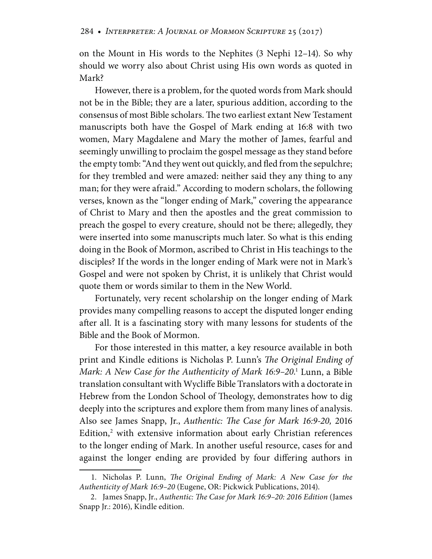on the Mount in His words to the Nephites (3 Nephi 12–14). So why should we worry also about Christ using His own words as quoted in Mark?

However, there is a problem, for the quoted words from Mark should not be in the Bible; they are a later, spurious addition, according to the consensus of most Bible scholars. The two earliest extant New Testament manuscripts both have the Gospel of Mark ending at 16:8 with two women, Mary Magdalene and Mary the mother of James, fearful and seemingly unwilling to proclaim the gospel message as they stand before the empty tomb: "And they went out quickly, and fled from the sepulchre; for they trembled and were amazed: neither said they any thing to any man; for they were afraid." According to modern scholars, the following verses, known as the "longer ending of Mark," covering the appearance of Christ to Mary and then the apostles and the great commission to preach the gospel to every creature, should not be there; allegedly, they were inserted into some manuscripts much later. So what is this ending doing in the Book of Mormon, ascribed to Christ in His teachings to the disciples? If the words in the longer ending of Mark were not in Mark's Gospel and were not spoken by Christ, it is unlikely that Christ would quote them or words similar to them in the New World.

Fortunately, very recent scholarship on the longer ending of Mark provides many compelling reasons to accept the disputed longer ending after all. It is a fascinating story with many lessons for students of the Bible and the Book of Mormon.

For those interested in this matter, a key resource available in both print and Kindle editions is Nicholas P. Lunn's *The Original Ending of Mark: A New Case for the Authenticity of Mark 16:9–20*. 1 Lunn, a Bible translation consultant with Wycliffe Bible Translators with a doctorate in Hebrew from the London School of Theology, demonstrates how to dig deeply into the scriptures and explore them from many lines of analysis. Also see James Snapp, Jr., *Authentic: The Case for Mark 16:9-20,* 2016 Edition,<sup>2</sup> with extensive information about early Christian references to the longer ending of Mark. In another useful resource, cases for and against the longer ending are provided by four differing authors in

 <sup>1.</sup> Nicholas P. Lunn, *The Original Ending of Mark: A New Case for the Authenticity of Mark 16:9–20* (Eugene, OR: Pickwick Publications, 2014).

 <sup>2.</sup> James Snapp, Jr., *Authentic: The Case for Mark 16:9–20: 2016 Edition* (James Snapp Jr.: 2016), Kindle edition.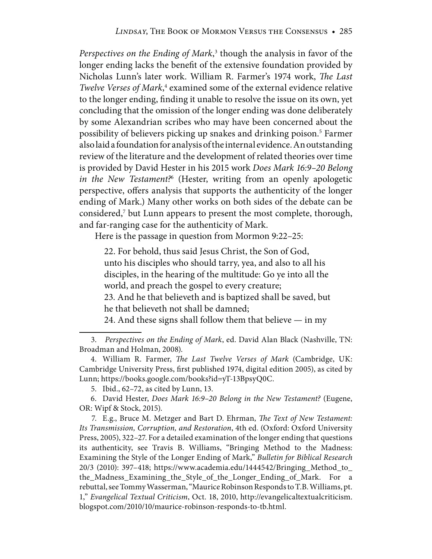Perspectives on the Ending of Mark,<sup>3</sup> though the analysis in favor of the longer ending lacks the benefit of the extensive foundation provided by Nicholas Lunn's later work. William R. Farmer's 1974 work, *The Last*  Twelve Verses of Mark,<sup>4</sup> examined some of the external evidence relative to the longer ending, finding it unable to resolve the issue on its own, yet concluding that the omission of the longer ending was done deliberately by some Alexandrian scribes who may have been concerned about the possibility of believers picking up snakes and drinking poison.<sup>5</sup> Farmer also laid a foundation for analysis of the internal evidence. An outstanding review of the literature and the development of related theories over time is provided by David Hester in his 2015 work *Does Mark 16:9–20 Belong in the New Testament?*<sup>6</sup> (Hester, writing from an openly apologetic perspective, offers analysis that supports the authenticity of the longer ending of Mark.) Many other works on both sides of the debate can be considered,<sup>7</sup> but Lunn appears to present the most complete, thorough, and far-ranging case for the authenticity of Mark.

Here is the passage in question from Mormon 9:22–25:

22. For behold, thus said Jesus Christ, the Son of God, unto his disciples who should tarry, yea, and also to all his disciples, in the hearing of the multitude: Go ye into all the world, and preach the gospel to every creature;

23. And he that believeth and is baptized shall be saved, but he that believeth not shall be damned;

24. And these signs shall follow them that believe  $-$  in my

 7. E.g., Bruce M. Metzger and Bart D. Ehrman, *The Text of New Testament: Its Transmission, Corruption, and Restoration*, 4th ed. (Oxford: Oxford University Press, 2005), 322–27. For a detailed examination of the longer ending that questions its authenticity, see Travis B. Williams, "Bringing Method to the Madness: Examining the Style of the Longer Ending of Mark," *Bulletin for Biblical Research* 20/3 (2010): 397–418; https://www.academia.edu/1444542/Bringing\_Method\_to\_ the\_Madness\_Examining\_the\_Style\_of\_the\_Longer\_Ending\_of\_Mark. For a rebuttal, see Tommy Wasserman, "Maurice Robinson Responds to T.B. Williams, pt. 1," *Evangelical Textual Criticism*, Oct. 18, 2010, http://evangelicaltextualcriticism. blogspot.com/2010/10/maurice-robinson-responds-to-tb.html.

 <sup>3.</sup> *Perspectives on the Ending of Mark*, ed. David Alan Black (Nashville, TN: Broadman and Holman, 2008).

 <sup>4.</sup> William R. Farmer, *The Last Twelve Verses of Mark* (Cambridge, UK: Cambridge University Press, first published 1974, digital edition 2005), as cited by Lunn; https://books.google.com/books?id=yT-13BpsyQ0C.

 <sup>5.</sup> Ibid., 62–72, as cited by Lunn, 13.

 <sup>6.</sup> David Hester, *Does Mark 16:9–20 Belong in the New Testament?* (Eugene, OR: Wipf & Stock, 2015).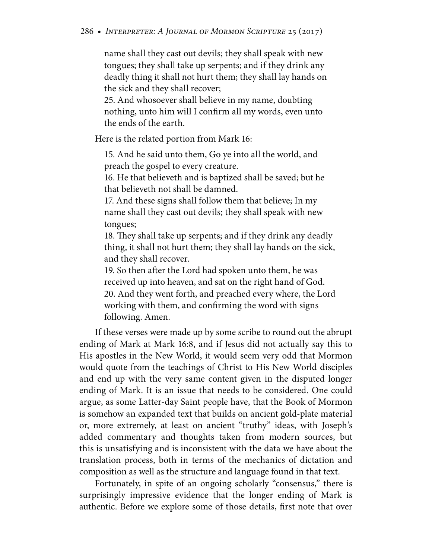name shall they cast out devils; they shall speak with new tongues; they shall take up serpents; and if they drink any deadly thing it shall not hurt them; they shall lay hands on the sick and they shall recover;

25. And whosoever shall believe in my name, doubting nothing, unto him will I confirm all my words, even unto the ends of the earth.

Here is the related portion from Mark 16:

15. And he said unto them, Go ye into all the world, and preach the gospel to every creature.

16. He that believeth and is baptized shall be saved; but he that believeth not shall be damned.

17. And these signs shall follow them that believe; In my name shall they cast out devils; they shall speak with new tongues;

18. They shall take up serpents; and if they drink any deadly thing, it shall not hurt them; they shall lay hands on the sick, and they shall recover.

19. So then after the Lord had spoken unto them, he was received up into heaven, and sat on the right hand of God. 20. And they went forth, and preached every where, the Lord working with them, and confirming the word with signs following. Amen.

If these verses were made up by some scribe to round out the abrupt ending of Mark at Mark 16:8, and if Jesus did not actually say this to His apostles in the New World, it would seem very odd that Mormon would quote from the teachings of Christ to His New World disciples and end up with the very same content given in the disputed longer ending of Mark. It is an issue that needs to be considered. One could argue, as some Latter-day Saint people have, that the Book of Mormon is somehow an expanded text that builds on ancient gold-plate material or, more extremely, at least on ancient "truthy" ideas, with Joseph's added commentary and thoughts taken from modern sources, but this is unsatisfying and is inconsistent with the data we have about the translation process, both in terms of the mechanics of dictation and composition as well as the structure and language found in that text.

Fortunately, in spite of an ongoing scholarly "consensus," there is surprisingly impressive evidence that the longer ending of Mark is authentic. Before we explore some of those details, first note that over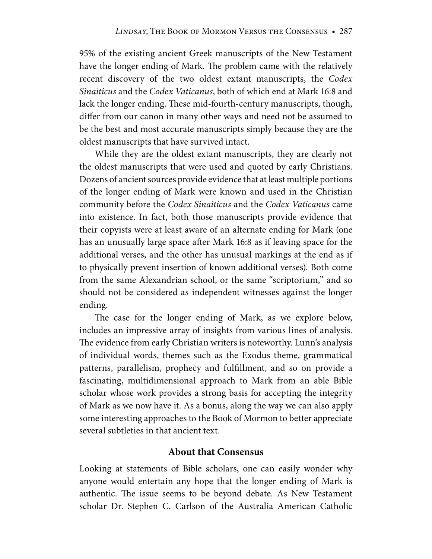95% of the existing ancient Greek manuscripts of the New Testament have the longer ending of Mark. The problem came with the relatively recent discovery of the two oldest extant manuscripts, the *Codex Sinaiticus* and the *Codex Vaticanus*, both of which end at Mark 16:8 and lack the longer ending. These mid-fourth-century manuscripts, though, differ from our canon in many other ways and need not be assumed to be the best and most accurate manuscripts simply because they are the oldest manuscripts that have survived intact.

While they are the oldest extant manuscripts, they are clearly not the oldest manuscripts that were used and quoted by early Christians. Dozens of ancient sources provide evidence that at least multiple portions of the longer ending of Mark were known and used in the Christian community before the *Codex Sinaiticus* and the *Codex Vaticanus* came into existence. In fact, both those manuscripts provide evidence that their copyists were at least aware of an alternate ending for Mark (one has an unusually large space after Mark 16:8 as if leaving space for the additional verses, and the other has unusual markings at the end as if to physically prevent insertion of known additional verses). Both come from the same Alexandrian school, or the same "scriptorium," and so should not be considered as independent witnesses against the longer ending.

The case for the longer ending of Mark, as we explore below, includes an impressive array of insights from various lines of analysis. The evidence from early Christian writers is noteworthy. Lunn's analysis of individual words, themes such as the Exodus theme, grammatical patterns, parallelism, prophecy and fulfillment, and so on provide a fascinating, multidimensional approach to Mark from an able Bible scholar whose work provides a strong basis for accepting the integrity of Mark as we now have it. As a bonus, along the way we can also apply some interesting approaches to the Book of Mormon to better appreciate several subtleties in that ancient text.

#### **About that Consensus**

Looking at statements of Bible scholars, one can easily wonder why anyone would entertain any hope that the longer ending of Mark is authentic. The issue seems to be beyond debate. As New Testament scholar Dr. Stephen C. Carlson of the Australia American Catholic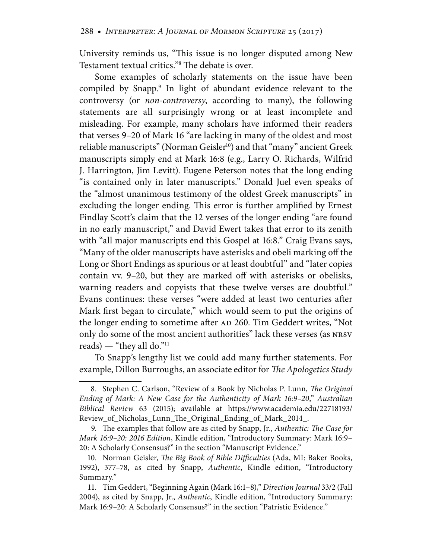University reminds us, "This issue is no longer disputed among New Testament textual critics."8 The debate is over.

Some examples of scholarly statements on the issue have been compiled by Snapp.<sup>9</sup> In light of abundant evidence relevant to the controversy (or *non-controversy*, according to many), the following statements are all surprisingly wrong or at least incomplete and misleading. For example, many scholars have informed their readers that verses 9–20 of Mark 16 "are lacking in many of the oldest and most reliable manuscripts" (Norman Geisler<sup>10</sup>) and that "many" ancient Greek manuscripts simply end at Mark 16:8 (e.g., Larry O. Richards, Wilfrid J. Harrington, Jim Levitt). Eugene Peterson notes that the long ending "is contained only in later manuscripts." Donald Juel even speaks of the "almost unanimous testimony of the oldest Greek manuscripts" in excluding the longer ending. This error is further amplified by Ernest Findlay Scott's claim that the 12 verses of the longer ending "are found in no early manuscript," and David Ewert takes that error to its zenith with "all major manuscripts end this Gospel at 16:8." Craig Evans says, "Many of the older manuscripts have asterisks and obeli marking off the Long or Short Endings as spurious or at least doubtful" and "later copies contain vv. 9–20, but they are marked off with asterisks or obelisks, warning readers and copyists that these twelve verses are doubtful." Evans continues: these verses "were added at least two centuries after Mark first began to circulate," which would seem to put the origins of the longer ending to sometime after AD 260. Tim Geddert writes, "Not only do some of the most ancient authorities" lack these verses (as nrsv reads) — "they all do."11

To Snapp's lengthy list we could add many further statements. For example, Dillon Burroughs, an associate editor for *The Apologetics Study* 

 <sup>8.</sup> Stephen C. Carlson, "Review of a Book by Nicholas P. Lunn, *The Original Ending of Mark: A New Case for the Authenticity of Mark 16:9–20*," *Australian Biblical Review* 63 (2015); available at https://www.academia.edu/22718193/ Review\_of\_Nicholas\_Lunn\_The\_Original\_Ending\_of\_Mark\_2014\_.

 <sup>9.</sup> The examples that follow are as cited by Snapp, Jr., *Authentic: The Case for Mark 16:9–20: 2016 Edition*, Kindle edition, "Introductory Summary: Mark 16:9– 20: A Scholarly Consensus?" in the section "Manuscript Evidence."

 <sup>10.</sup> Norman Geisler, *The Big Book of Bible Difficulties* (Ada, MI: Baker Books, 1992), 377–78, as cited by Snapp, *Authentic*, Kindle edition, "Introductory Summary."

 <sup>11.</sup> Tim Geddert, "Beginning Again (Mark 16:1–8)," *Direction Journal* 33/2 (Fall 2004), as cited by Snapp, Jr., *Authentic*, Kindle edition, "Introductory Summary: Mark 16:9–20: A Scholarly Consensus?" in the section "Patristic Evidence."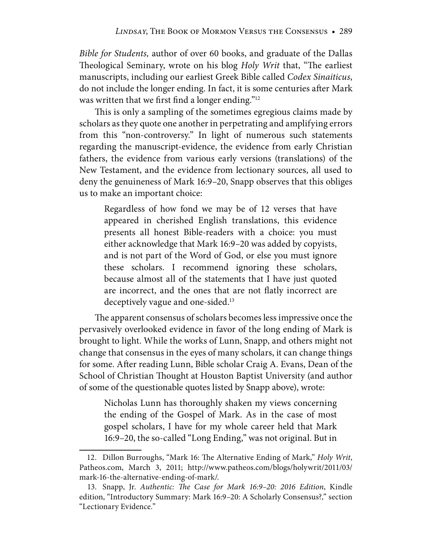*Bible for Students,* author of over 60 books, and graduate of the Dallas Theological Seminary, wrote on his blog *Holy Writ* that, "The earliest manuscripts, including our earliest Greek Bible called *Codex Sinaiticus*, do not include the longer ending. In fact, it is some centuries after Mark was written that we first find a longer ending."12

This is only a sampling of the sometimes egregious claims made by scholars as they quote one another in perpetrating and amplifying errors from this "non-controversy." In light of numerous such statements regarding the manuscript-evidence, the evidence from early Christian fathers, the evidence from various early versions (translations) of the New Testament, and the evidence from lectionary sources, all used to deny the genuineness of Mark 16:9–20, Snapp observes that this obliges us to make an important choice:

Regardless of how fond we may be of 12 verses that have appeared in cherished English translations, this evidence presents all honest Bible-readers with a choice: you must either acknowledge that Mark 16:9–20 was added by copyists, and is not part of the Word of God, or else you must ignore these scholars. I recommend ignoring these scholars, because almost all of the statements that I have just quoted are incorrect, and the ones that are not flatly incorrect are deceptively vague and one-sided.<sup>13</sup>

The apparent consensus of scholars becomes less impressive once the pervasively overlooked evidence in favor of the long ending of Mark is brought to light. While the works of Lunn, Snapp, and others might not change that consensus in the eyes of many scholars, it can change things for some. After reading Lunn, Bible scholar Craig A. Evans, Dean of the School of Christian Thought at Houston Baptist University (and author of some of the questionable quotes listed by Snapp above), wrote:

Nicholas Lunn has thoroughly shaken my views concerning the ending of the Gospel of Mark. As in the case of most gospel scholars, I have for my whole career held that Mark 16:9–20, the so-called "Long Ending," was not original. But in

 <sup>12.</sup> Dillon Burroughs, "Mark 16: The Alternative Ending of Mark," *Holy Writ*, Patheos.com, March 3, 2011; http://www.patheos.com/blogs/holywrit/2011/03/ mark-16-the-alternative-ending-of-mark/.

 <sup>13.</sup> Snapp, Jr. *Authentic: The Case for Mark 16:9–20: 2016 Edition*, Kindle edition, "Introductory Summary: Mark 16:9–20: A Scholarly Consensus?," section "Lectionary Evidence."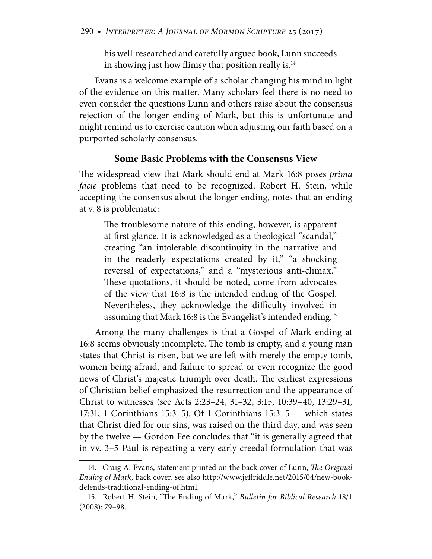his well-researched and carefully argued book, Lunn succeeds in showing just how flimsy that position really is.<sup>14</sup>

Evans is a welcome example of a scholar changing his mind in light of the evidence on this matter. Many scholars feel there is no need to even consider the questions Lunn and others raise about the consensus rejection of the longer ending of Mark, but this is unfortunate and might remind us to exercise caution when adjusting our faith based on a purported scholarly consensus.

#### **Some Basic Problems with the Consensus View**

The widespread view that Mark should end at Mark 16:8 poses *prima facie* problems that need to be recognized. Robert H. Stein, while accepting the consensus about the longer ending, notes that an ending at v. 8 is problematic:

The troublesome nature of this ending, however, is apparent at first glance. It is acknowledged as a theological "scandal," creating "an intolerable discontinuity in the narrative and in the readerly expectations created by it," "a shocking reversal of expectations," and a "mysterious anti-climax." These quotations, it should be noted, come from advocates of the view that 16:8 is the intended ending of the Gospel. Nevertheless, they acknowledge the difficulty involved in assuming that Mark 16:8 is the Evangelist's intended ending.15

Among the many challenges is that a Gospel of Mark ending at 16:8 seems obviously incomplete. The tomb is empty, and a young man states that Christ is risen, but we are left with merely the empty tomb, women being afraid, and failure to spread or even recognize the good news of Christ's majestic triumph over death. The earliest expressions of Christian belief emphasized the resurrection and the appearance of Christ to witnesses (see Acts 2:23–24, 31–32, 3:15, 10:39–40, 13:29–31, 17:31; 1 Corinthians 15:3–5). Of 1 Corinthians 15:3–5 — which states that Christ died for our sins, was raised on the third day, and was seen by the twelve — Gordon Fee concludes that "it is generally agreed that in vv. 3–5 Paul is repeating a very early creedal formulation that was

 <sup>14.</sup> Craig A. Evans, statement printed on the back cover of Lunn, *The Original Ending of Mark*, back cover, see also http://www.jeffriddle.net/2015/04/new-bookdefends-traditional-ending-of.html.

 <sup>15.</sup> Robert H. Stein, "The Ending of Mark," *Bulletin for Biblical Research* 18/1 (2008): 79–98.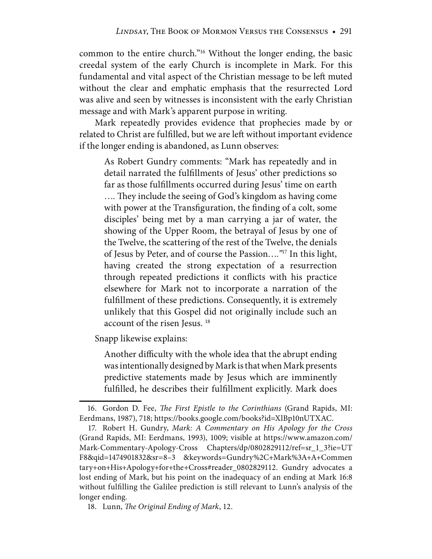common to the entire church."16 Without the longer ending, the basic creedal system of the early Church is incomplete in Mark. For this fundamental and vital aspect of the Christian message to be left muted without the clear and emphatic emphasis that the resurrected Lord was alive and seen by witnesses is inconsistent with the early Christian message and with Mark's apparent purpose in writing.

Mark repeatedly provides evidence that prophecies made by or related to Christ are fulfilled, but we are left without important evidence if the longer ending is abandoned, as Lunn observes:

As Robert Gundry comments: "Mark has repeatedly and in detail narrated the fulfillments of Jesus' other predictions so far as those fulfillments occurred during Jesus' time on earth …*.* They include the seeing of God's kingdom as having come with power at the Transfiguration, the finding of a colt, some disciples' being met by a man carrying a jar of water, the showing of the Upper Room, the betrayal of Jesus by one of the Twelve, the scattering of the rest of the Twelve, the denials of Jesus by Peter, and of course the Passion…*."*17 In this light, having created the strong expectation of a resurrection through repeated predictions it conflicts with his practice elsewhere for Mark not to incorporate a narration of the fulfillment of these predictions. Consequently, it is extremely unlikely that this Gospel did not originally include such an account of the risen Jesus. 18

Snapp likewise explains:

Another difficulty with the whole idea that the abrupt ending was intentionally designed by Mark is that when Mark presents predictive statements made by Jesus which are imminently fulfilled, he describes their fulfillment explicitly. Mark does

 <sup>16.</sup> Gordon D. Fee, *The First Epistle to the Corinthians* (Grand Rapids, MI: Eerdmans, 1987), 718; https://books.google.com/books?id=XlBp10nUTXAC.

 <sup>17.</sup> Robert H. Gundry, *Mark: A Commentary on His Apology for the Cross* (Grand Rapids, MI: Eerdmans, 1993), 1009; visible at https://www.amazon.com/ Mark-Commentary-Apology-Cross Chapters/dp/0802829112/ref=sr\_1\_3?ie=UT F8&qid=1474901832&sr=8–3 &keywords=Gundry%2C+Mark%3A+A+Commen tary+on+His+Apology+for+the+Cross#reader\_0802829112. Gundry advocates a lost ending of Mark, but his point on the inadequacy of an ending at Mark 16:8 without fulfilling the Galilee prediction is still relevant to Lunn's analysis of the longer ending.

 <sup>18.</sup> Lunn, *The Original Ending of Mark*, 12.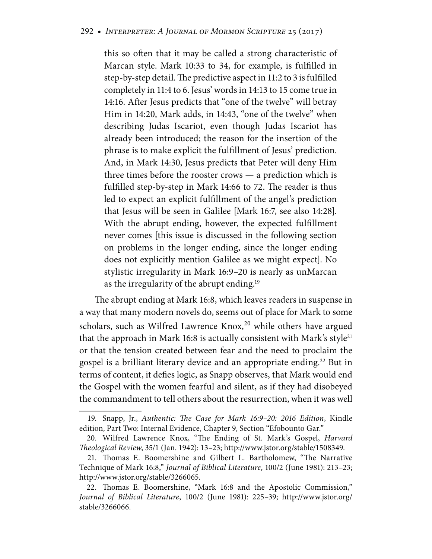this so often that it may be called a strong characteristic of Marcan style. Mark 10:33 to 34, for example, is fulfilled in step-by-step detail. The predictive aspect in 11:2 to 3 is fulfilled completely in 11:4 to 6. Jesus' words in 14:13 to 15 come true in 14:16. After Jesus predicts that "one of the twelve" will betray Him in 14:20, Mark adds, in 14:43, "one of the twelve" when describing Judas Iscariot, even though Judas Iscariot has already been introduced; the reason for the insertion of the phrase is to make explicit the fulfillment of Jesus' prediction. And, in Mark 14:30, Jesus predicts that Peter will deny Him three times before the rooster crows — a prediction which is fulfilled step-by-step in Mark 14:66 to 72. The reader is thus led to expect an explicit fulfillment of the angel's prediction that Jesus will be seen in Galilee [Mark 16:7, see also 14:28]. With the abrupt ending, however, the expected fulfillment never comes [this issue is discussed in the following section on problems in the longer ending, since the longer ending does not explicitly mention Galilee as we might expect]. No stylistic irregularity in Mark 16:9–20 is nearly as unMarcan as the irregularity of the abrupt ending.<sup>19</sup>

The abrupt ending at Mark 16:8, which leaves readers in suspense in a way that many modern novels do, seems out of place for Mark to some scholars, such as Wilfred Lawrence Knox,<sup>20</sup> while others have argued that the approach in Mark 16:8 is actually consistent with Mark's style<sup>21</sup> or that the tension created between fear and the need to proclaim the gospel is a brilliant literary device and an appropriate ending.<sup>22</sup> But in terms of content, it defies logic, as Snapp observes, that Mark would end the Gospel with the women fearful and silent, as if they had disobeyed the commandment to tell others about the resurrection, when it was well

 <sup>19.</sup> Snapp, Jr., *Authentic: The Case for Mark 16:9–20: 2016 Edition*, Kindle edition, Part Two: Internal Evidence, Chapter 9, Section "Efobounto Gar."

 <sup>20.</sup> Wilfred Lawrence Knox, "The Ending of St. Mark's Gospel, *Harvard Theological Review*, 35/1 (Jan. 1942): 13–23; http://www.jstor.org/stable/1508349.

 <sup>21.</sup> Thomas E. Boomershine and Gilbert L. Bartholomew, "The Narrative Technique of Mark 16:8," *Journal of Biblical Literature*, 100/2 (June 1981): 213–23; http://www.jstor.org/stable/3266065.

 <sup>22.</sup> Thomas E. Boomershine, "Mark 16:8 and the Apostolic Commission," *Journal of Biblical Literature*, 100/2 (June 1981): 225–39; http://www.jstor.org/ stable/3266066.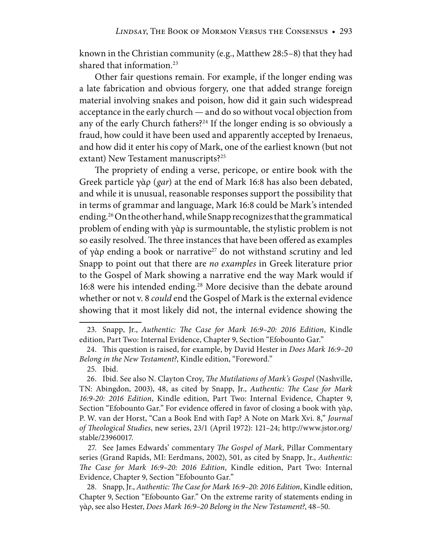known in the Christian community (e.g., Matthew 28:5–8) that they had shared that information.<sup>23</sup>

Other fair questions remain. For example, if the longer ending was a late fabrication and obvious forgery, one that added strange foreign material involving snakes and poison, how did it gain such widespread acceptance in the early church — and do so without vocal objection from any of the early Church fathers?<sup>24</sup> If the longer ending is so obviously a fraud, how could it have been used and apparently accepted by Irenaeus, and how did it enter his copy of Mark, one of the earliest known (but not extant) New Testament manuscripts?<sup>25</sup>

The propriety of ending a verse, pericope, or entire book with the Greek particle γὰρ (*gar*) at the end of Mark 16:8 has also been debated, and while it is unusual, reasonable responses support the possibility that in terms of grammar and language, Mark 16:8 could be Mark's intended ending.26 On the other hand, while Snapp recognizes that the grammatical problem of ending with γὰρ is surmountable, the stylistic problem is not so easily resolved. The three instances that have been offered as examples of γὰρ ending a book or narrative<sup>27</sup> do not withstand scrutiny and led Snapp to point out that there are *no examples* in Greek literature prior to the Gospel of Mark showing a narrative end the way Mark would if 16:8 were his intended ending.28 More decisive than the debate around whether or not v. 8 *could* end the Gospel of Mark is the external evidence showing that it most likely did not, the internal evidence showing the

 27. See James Edwards' commentary *The Gospel of Mark*, Pillar Commentary series (Grand Rapids, MI: Eerdmans, 2002), 501, as cited by Snapp, Jr., *Authentic: The Case for Mark 16:9–20: 2016 Edition*, Kindle edition, Part Two: Internal Evidence, Chapter 9, Section "Efobounto Gar."

 28. Snapp, Jr., *Authentic: The Case for Mark 16:9–20: 2016 Edition*, Kindle edition, Chapter 9, Section "Efobounto Gar." On the extreme rarity of statements ending in γὰρ, see also Hester, *Does Mark 16:9–20 Belong in the New Testament?*, 48–50.

 <sup>23.</sup> Snapp, Jr., *Authentic: The Case for Mark 16:9–20: 2016 Edition*, Kindle edition, Part Two: Internal Evidence, Chapter 9, Section "Efobounto Gar."

 <sup>24.</sup> This question is raised, for example, by David Hester in *Does Mark 16:9–20 Belong in the New Testament?*, Kindle edition, "Foreword."

 <sup>25.</sup> Ibid.

 <sup>26.</sup> Ibid. See also N. Clayton Croy, *The Mutilations of Mark's Gospel* (Nashville, TN: Abingdon, 2003), 48, as cited by Snapp, Jr., *Authentic: The Case for Mark 16:9-20: 2016 Edition*, Kindle edition, Part Two: Internal Evidence, Chapter 9, Section "Efobounto Gar." For evidence offered in favor of closing a book with γὰρ, P. W. van der Horst, "Can a Book End with Γαp? A Note on Mark Xvi. 8," *Journal of Theological Studies*, new series, 23/1 (April 1972): 121–24; http://www.jstor.org/ stable/23960017.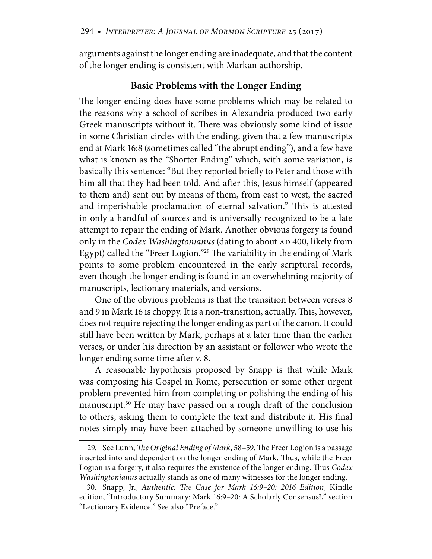arguments against the longer ending are inadequate, and that the content of the longer ending is consistent with Markan authorship.

#### **Basic Problems with the Longer Ending**

The longer ending does have some problems which may be related to the reasons why a school of scribes in Alexandria produced two early Greek manuscripts without it. There was obviously some kind of issue in some Christian circles with the ending, given that a few manuscripts end at Mark 16:8 (sometimes called "the abrupt ending"), and a few have what is known as the "Shorter Ending" which, with some variation, is basically this sentence: "But they reported briefly to Peter and those with him all that they had been told. And after this, Jesus himself (appeared to them and) sent out by means of them, from east to west, the sacred and imperishable proclamation of eternal salvation." This is attested in only a handful of sources and is universally recognized to be a late attempt to repair the ending of Mark. Another obvious forgery is found only in the *Codex Washingtonianus* (dating to about AD 400, likely from Egypt) called the "Freer Logion."29 The variability in the ending of Mark points to some problem encountered in the early scriptural records, even though the longer ending is found in an overwhelming majority of manuscripts, lectionary materials, and versions.

One of the obvious problems is that the transition between verses 8 and 9 in Mark 16 is choppy. It is a non-transition, actually. This, however, does not require rejecting the longer ending as part of the canon. It could still have been written by Mark, perhaps at a later time than the earlier verses, or under his direction by an assistant or follower who wrote the longer ending some time after v. 8.

A reasonable hypothesis proposed by Snapp is that while Mark was composing his Gospel in Rome, persecution or some other urgent problem prevented him from completing or polishing the ending of his manuscript.30 He may have passed on a rough draft of the conclusion to others, asking them to complete the text and distribute it. His final notes simply may have been attached by someone unwilling to use his

 <sup>29.</sup> See Lunn, *The Original Ending of Mark*, 58–59. The Freer Logion is a passage inserted into and dependent on the longer ending of Mark. Thus, while the Freer Logion is a forgery, it also requires the existence of the longer ending. Thus *Codex Washingtonianus* actually stands as one of many witnesses for the longer ending.

 <sup>30.</sup> Snapp, Jr., *Authentic: The Case for Mark 16:9–20: 2016 Edition*, Kindle edition, "Introductory Summary: Mark 16:9–20: A Scholarly Consensus?," section "Lectionary Evidence." See also "Preface."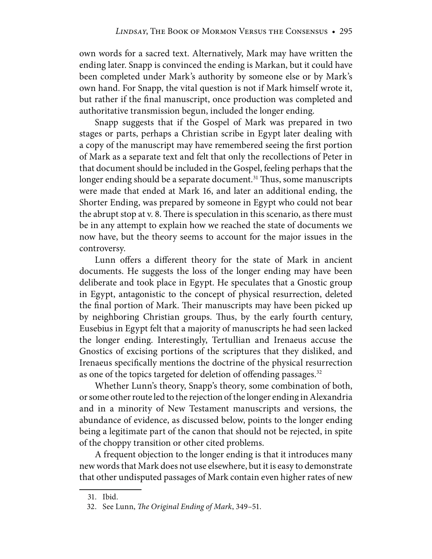own words for a sacred text. Alternatively, Mark may have written the ending later. Snapp is convinced the ending is Markan, but it could have been completed under Mark's authority by someone else or by Mark's own hand. For Snapp, the vital question is not if Mark himself wrote it, but rather if the final manuscript, once production was completed and authoritative transmission begun, included the longer ending.

Snapp suggests that if the Gospel of Mark was prepared in two stages or parts, perhaps a Christian scribe in Egypt later dealing with a copy of the manuscript may have remembered seeing the first portion of Mark as a separate text and felt that only the recollections of Peter in that document should be included in the Gospel, feeling perhaps that the longer ending should be a separate document.<sup>31</sup> Thus, some manuscripts were made that ended at Mark 16, and later an additional ending, the Shorter Ending, was prepared by someone in Egypt who could not bear the abrupt stop at v. 8. There is speculation in this scenario, as there must be in any attempt to explain how we reached the state of documents we now have, but the theory seems to account for the major issues in the controversy.

Lunn offers a different theory for the state of Mark in ancient documents. He suggests the loss of the longer ending may have been deliberate and took place in Egypt. He speculates that a Gnostic group in Egypt, antagonistic to the concept of physical resurrection, deleted the final portion of Mark. Their manuscripts may have been picked up by neighboring Christian groups. Thus, by the early fourth century, Eusebius in Egypt felt that a majority of manuscripts he had seen lacked the longer ending. Interestingly, Tertullian and Irenaeus accuse the Gnostics of excising portions of the scriptures that they disliked, and Irenaeus specifically mentions the doctrine of the physical resurrection as one of the topics targeted for deletion of offending passages.<sup>32</sup>

Whether Lunn's theory, Snapp's theory, some combination of both, or some other route led to the rejection of the longer ending in Alexandria and in a minority of New Testament manuscripts and versions, the abundance of evidence, as discussed below, points to the longer ending being a legitimate part of the canon that should not be rejected, in spite of the choppy transition or other cited problems.

A frequent objection to the longer ending is that it introduces many new words that Mark does not use elsewhere, but it is easy to demonstrate that other undisputed passages of Mark contain even higher rates of new

 <sup>31.</sup> Ibid.

 <sup>32.</sup> See Lunn, *The Original Ending of Mark*, 349–51.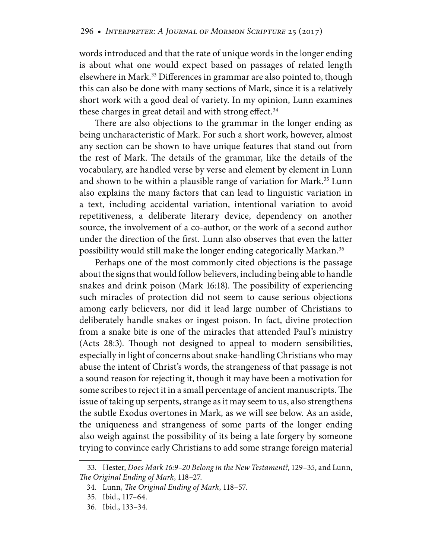words introduced and that the rate of unique words in the longer ending is about what one would expect based on passages of related length elsewhere in Mark.<sup>33</sup> Differences in grammar are also pointed to, though this can also be done with many sections of Mark, since it is a relatively short work with a good deal of variety. In my opinion, Lunn examines these charges in great detail and with strong effect. $34$ 

There are also objections to the grammar in the longer ending as being uncharacteristic of Mark. For such a short work, however, almost any section can be shown to have unique features that stand out from the rest of Mark. The details of the grammar, like the details of the vocabulary, are handled verse by verse and element by element in Lunn and shown to be within a plausible range of variation for Mark.<sup>35</sup> Lunn also explains the many factors that can lead to linguistic variation in a text, including accidental variation, intentional variation to avoid repetitiveness, a deliberate literary device, dependency on another source, the involvement of a co-author, or the work of a second author under the direction of the first. Lunn also observes that even the latter possibility would still make the longer ending categorically Markan.<sup>36</sup>

Perhaps one of the most commonly cited objections is the passage about the signs that would follow believers, including being able to handle snakes and drink poison (Mark 16:18). The possibility of experiencing such miracles of protection did not seem to cause serious objections among early believers, nor did it lead large number of Christians to deliberately handle snakes or ingest poison. In fact, divine protection from a snake bite is one of the miracles that attended Paul's ministry (Acts 28:3). Though not designed to appeal to modern sensibilities, especially in light of concerns about snake-handling Christians who may abuse the intent of Christ's words, the strangeness of that passage is not a sound reason for rejecting it, though it may have been a motivation for some scribes to reject it in a small percentage of ancient manuscripts. The issue of taking up serpents, strange as it may seem to us, also strengthens the subtle Exodus overtones in Mark, as we will see below. As an aside, the uniqueness and strangeness of some parts of the longer ending also weigh against the possibility of its being a late forgery by someone trying to convince early Christians to add some strange foreign material

 <sup>33.</sup> Hester, *Does Mark 16:9–20 Belong in the New Testament?*, 129–35, and Lunn, *The Original Ending of Mark*, 118–27.

 <sup>34.</sup> Lunn, *The Original Ending of Mark*, 118–57.

 <sup>35.</sup> Ibid., 117–64.

 <sup>36.</sup> Ibid., 133–34.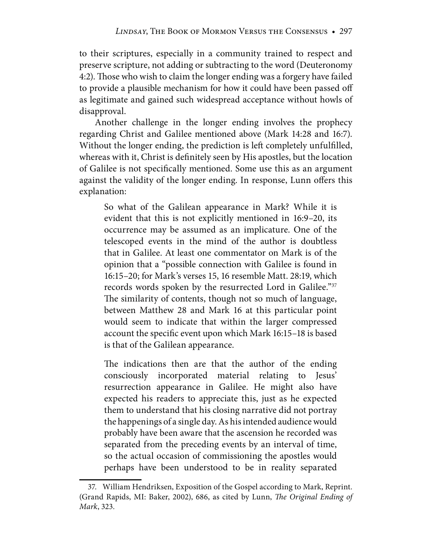to their scriptures, especially in a community trained to respect and preserve scripture, not adding or subtracting to the word (Deuteronomy 4:2). Those who wish to claim the longer ending was a forgery have failed to provide a plausible mechanism for how it could have been passed off as legitimate and gained such widespread acceptance without howls of disapproval.

Another challenge in the longer ending involves the prophecy regarding Christ and Galilee mentioned above (Mark 14:28 and 16:7). Without the longer ending, the prediction is left completely unfulfilled, whereas with it, Christ is definitely seen by His apostles, but the location of Galilee is not specifically mentioned. Some use this as an argument against the validity of the longer ending. In response, Lunn offers this explanation:

So what of the Galilean appearance in Mark? While it is evident that this is not explicitly mentioned in 16:9–20, its occurrence may be assumed as an implicature. One of the telescoped events in the mind of the author is doubtless that in Galilee. At least one commentator on Mark is of the opinion that a "possible connection with Galilee is found in 16:15–20; for Mark's verses 15, 16 resemble Matt. 28:19, which records words spoken by the resurrected Lord in Galilee."37 The similarity of contents, though not so much of language, between Matthew 28 and Mark 16 at this particular point would seem to indicate that within the larger compressed account the specific event upon which Mark 16:15–18 is based is that of the Galilean appearance.

The indications then are that the author of the ending consciously incorporated material relating to Jesus' resurrection appearance in Galilee. He might also have expected his readers to appreciate this, just as he expected them to understand that his closing narrative did not portray the happenings of a single day. As his intended audience would probably have been aware that the ascension he recorded was separated from the preceding events by an interval of time, so the actual occasion of commissioning the apostles would perhaps have been understood to be in reality separated

 <sup>37.</sup> William Hendriksen, Exposition of the Gospel according to Mark, Reprint. (Grand Rapids, MI: Baker, 2002), 686, as cited by Lunn, *The Original Ending of Mark*, 323.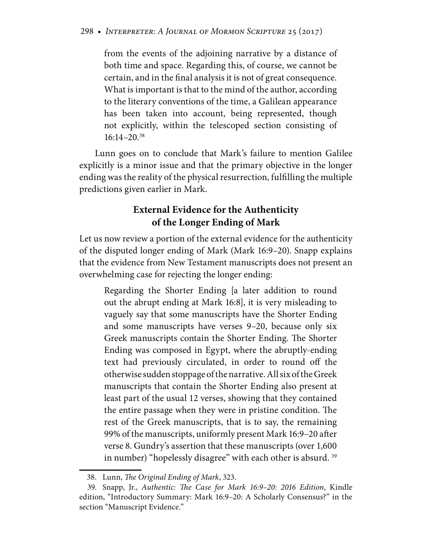from the events of the adjoining narrative by a distance of both time and space. Regarding this, of course, we cannot be certain, and in the final analysis it is not of great consequence. What is important is that to the mind of the author, according to the literary conventions of the time, a Galilean appearance has been taken into account, being represented, though not explicitly, within the telescoped section consisting of  $16:14-20.^{38}$ 

Lunn goes on to conclude that Mark's failure to mention Galilee explicitly is a minor issue and that the primary objective in the longer ending was the reality of the physical resurrection, fulfilling the multiple predictions given earlier in Mark.

### **External Evidence for the Authenticity of the Longer Ending of Mark**

Let us now review a portion of the external evidence for the authenticity of the disputed longer ending of Mark (Mark 16:9–20). Snapp explains that the evidence from New Testament manuscripts does not present an overwhelming case for rejecting the longer ending:

Regarding the Shorter Ending [a later addition to round out the abrupt ending at Mark 16:8], it is very misleading to vaguely say that some manuscripts have the Shorter Ending and some manuscripts have verses 9–20, because only six Greek manuscripts contain the Shorter Ending. The Shorter Ending was composed in Egypt, where the abruptly-ending text had previously circulated, in order to round off the otherwise sudden stoppage of the narrative. All six of the Greek manuscripts that contain the Shorter Ending also present at least part of the usual 12 verses, showing that they contained the entire passage when they were in pristine condition. The rest of the Greek manuscripts, that is to say, the remaining 99% of the manuscripts, uniformly present Mark 16:9–20 after verse 8. Gundry's assertion that these manuscripts (over 1,600 in number) "hopelessly disagree" with each other is absurd.<sup>39</sup>

 <sup>38.</sup> Lunn, *The Original Ending of Mark*, 323.

 <sup>39.</sup> Snapp, Jr., *Authentic: The Case for Mark 16:9–20: 2016 Edition*, Kindle edition, "Introductory Summary: Mark 16:9–20: A Scholarly Consensus?" in the section "Manuscript Evidence."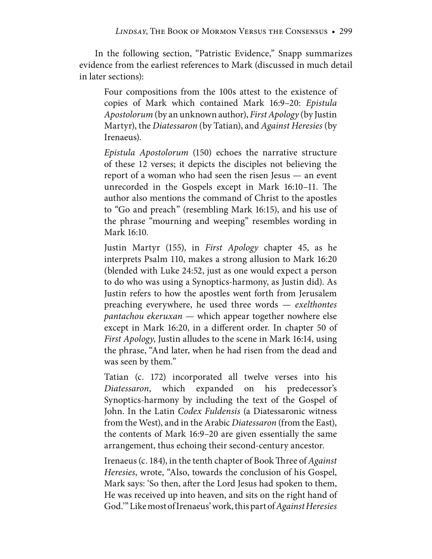In the following section, "Patristic Evidence," Snapp summarizes evidence from the earliest references to Mark (discussed in much detail in later sections):

Four compositions from the 100s attest to the existence of copies of Mark which contained Mark 16:9–20: *Epistula Apostolorum* (by an unknown author), *First Apology* (by Justin Martyr), the *Diatessaron* (by Tatian), and *Against Heresies* (by Irenaeus).

*Epistula Apostolorum* (150) echoes the narrative structure of these 12 verses; it depicts the disciples not believing the report of a woman who had seen the risen Jesus — an event unrecorded in the Gospels except in Mark 16:10–11. The author also mentions the command of Christ to the apostles to "Go and preach" (resembling Mark 16:15), and his use of the phrase "mourning and weeping" resembles wording in Mark 16:10.

Justin Martyr (155), in *First Apology* chapter 45, as he interprets Psalm 110, makes a strong allusion to Mark 16:20 (blended with Luke 24:52, just as one would expect a person to do who was using a Synoptics-harmony, as Justin did). As Justin refers to how the apostles went forth from Jerusalem preaching everywhere, he used three words — *exelthontes pantachou ekeruxan* — which appear together nowhere else except in Mark 16:20, in a different order. In chapter 50 of *First Apology*, Justin alludes to the scene in Mark 16:14, using the phrase, "And later, when he had risen from the dead and was seen by them."

Tatian (c. 172) incorporated all twelve verses into his *Diatessaron*, which expanded on his predecessor's Synoptics-harmony by including the text of the Gospel of John. In the Latin *Codex Fuldensis* (a Diatessaronic witness from the West), and in the Arabic *Diatessaron* (from the East), the contents of Mark 16:9–20 are given essentially the same arrangement, thus echoing their second-century ancestor.

Irenaeus (c. 184), in the tenth chapter of Book Three of *Against Heresies*, wrote, "Also, towards the conclusion of his Gospel, Mark says: 'So then, after the Lord Jesus had spoken to them, He was received up into heaven, and sits on the right hand of God.'" Like most of Irenaeus' work, this part of *Against Heresies*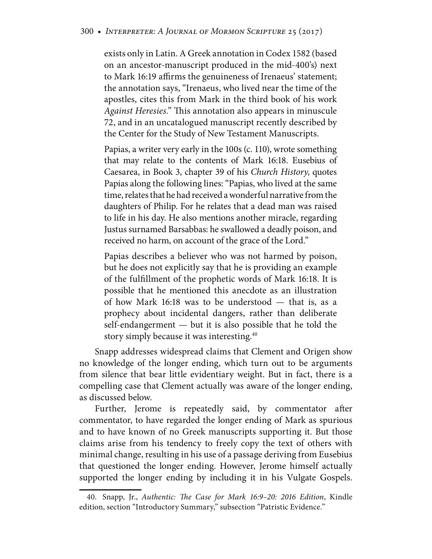exists only in Latin. A Greek annotation in Codex 1582 (based on an ancestor-manuscript produced in the mid-400's) next to Mark 16:19 affirms the genuineness of Irenaeus' statement; the annotation says, "Irenaeus, who lived near the time of the apostles, cites this from Mark in the third book of his work *Against Heresies*." This annotation also appears in minuscule 72, and in an uncatalogued manuscript recently described by the Center for the Study of New Testament Manuscripts.

Papias, a writer very early in the 100s (c. 110), wrote something that may relate to the contents of Mark 16:18. Eusebius of Caesarea, in Book 3, chapter 39 of his *Church History*, quotes Papias along the following lines: "Papias, who lived at the same time, relates that he had received a wonderful narrative from the daughters of Philip. For he relates that a dead man was raised to life in his day. He also mentions another miracle, regarding Justus surnamed Barsabbas: he swallowed a deadly poison, and received no harm, on account of the grace of the Lord."

Papias describes a believer who was not harmed by poison, but he does not explicitly say that he is providing an example of the fulfillment of the prophetic words of Mark 16:18. It is possible that he mentioned this anecdote as an illustration of how Mark 16:18 was to be understood — that is, as a prophecy about incidental dangers, rather than deliberate self-endangerment — but it is also possible that he told the story simply because it was interesting.<sup>40</sup>

Snapp addresses widespread claims that Clement and Origen show no knowledge of the longer ending, which turn out to be arguments from silence that bear little evidentiary weight. But in fact, there is a compelling case that Clement actually was aware of the longer ending, as discussed below.

Further, Jerome is repeatedly said, by commentator after commentator, to have regarded the longer ending of Mark as spurious and to have known of no Greek manuscripts supporting it. But those claims arise from his tendency to freely copy the text of others with minimal change, resulting in his use of a passage deriving from Eusebius that questioned the longer ending. However, Jerome himself actually supported the longer ending by including it in his Vulgate Gospels.

 <sup>40.</sup> Snapp, Jr., *Authentic: The Case for Mark 16:9–20: 2016 Edition*, Kindle edition, section "Introductory Summary," subsection "Patristic Evidence."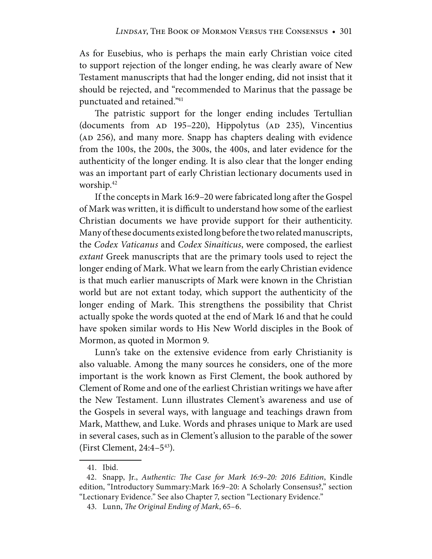As for Eusebius, who is perhaps the main early Christian voice cited to support rejection of the longer ending, he was clearly aware of New Testament manuscripts that had the longer ending, did not insist that it should be rejected, and "recommended to Marinus that the passage be punctuated and retained."41

The patristic support for the longer ending includes Tertullian (documents from AD 195–220), Hippolytus (AD 235), Vincentius (AD 256), and many more. Snapp has chapters dealing with evidence from the 100s, the 200s, the 300s, the 400s, and later evidence for the authenticity of the longer ending. It is also clear that the longer ending was an important part of early Christian lectionary documents used in worship.42

If the concepts in Mark 16:9–20 were fabricated long after the Gospel of Mark was written, it is difficult to understand how some of the earliest Christian documents we have provide support for their authenticity. Many of these documents existed long before the two related manuscripts, the *Codex Vaticanus* and *Codex Sinaiticus*, were composed, the earliest *extant* Greek manuscripts that are the primary tools used to reject the longer ending of Mark. What we learn from the early Christian evidence is that much earlier manuscripts of Mark were known in the Christian world but are not extant today, which support the authenticity of the longer ending of Mark. This strengthens the possibility that Christ actually spoke the words quoted at the end of Mark 16 and that he could have spoken similar words to His New World disciples in the Book of Mormon, as quoted in Mormon 9.

Lunn's take on the extensive evidence from early Christianity is also valuable. Among the many sources he considers, one of the more important is the work known as First Clement, the book authored by Clement of Rome and one of the earliest Christian writings we have after the New Testament. Lunn illustrates Clement's awareness and use of the Gospels in several ways, with language and teachings drawn from Mark, Matthew, and Luke. Words and phrases unique to Mark are used in several cases, such as in Clement's allusion to the parable of the sower (First Clement,  $24:4-5^{43}$ ).

 <sup>41.</sup> Ibid.

 <sup>42.</sup> Snapp, Jr., *Authentic: The Case for Mark 16:9–20: 2016 Edition*, Kindle edition, "Introductory Summary:Mark 16:9–20: A Scholarly Consensus?," section "Lectionary Evidence." See also Chapter 7, section "Lectionary Evidence."

 <sup>43.</sup> Lunn, *The Original Ending of Mark*, 65–6.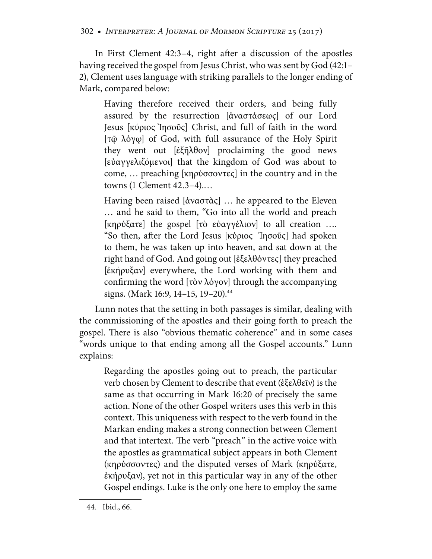In First Clement 42:3–4, right after a discussion of the apostles having received the gospel from Jesus Christ, who was sent by God (42:1– 2), Clement uses language with striking parallels to the longer ending of Mark, compared below:

Having therefore received their orders, and being fully assured by the resurrection [ἀναστάσεωç] of our Lord Jesus [κύριος Ἰησοῦς] Christ, and full of faith in the word [τῷ λόγῳ] of God, with full assurance of the Holy Spirit they went out [ἐξῆλθον] proclaiming the good news [εὐαγγελιζόμενοι] that the kingdom of God was about to come, … preaching [κηρύσσοντες] in the country and in the towns (1 Clement 42.3–4).…

Having been raised [ἀναστὰς] … he appeared to the Eleven … and he said to them, "Go into all the world and preach [κηρύξατε] the gospel [τὸ εὐαγγέλιον] to all creation …*.* "So then, after the Lord Jesus [κύριος Ἰησοῦς] had spoken to them, he was taken up into heaven, and sat down at the right hand of God. And going out [ἐξελθόντες] they preached [ἐκήρυξαν] everywhere, the Lord working with them and confirming the word [τὸν λόγον] through the accompanying signs. (Mark 16:9, 14–15, 19–20).<sup>44</sup>

Lunn notes that the setting in both passages is similar, dealing with the commissioning of the apostles and their going forth to preach the gospel. There is also "obvious thematic coherence" and in some cases "words unique to that ending among all the Gospel accounts." Lunn explains:

Regarding the apostles going out to preach, the particular verb chosen by Clement to describe that event (ἐξελθεῖν) is the same as that occurring in Mark 16:20 of precisely the same action. None of the other Gospel writers uses this verb in this context. This uniqueness with respect to the verb found in the Markan ending makes a strong connection between Clement and that intertext. The verb "preach" in the active voice with the apostles as grammatical subject appears in both Clement (κηρύσσοντες) and the disputed verses of Mark (κηρύξατε, ἐκήρυξαν), yet not in this particular way in any of the other Gospel endings. Luke is the only one here to employ the same

 <sup>44.</sup> Ibid., 66.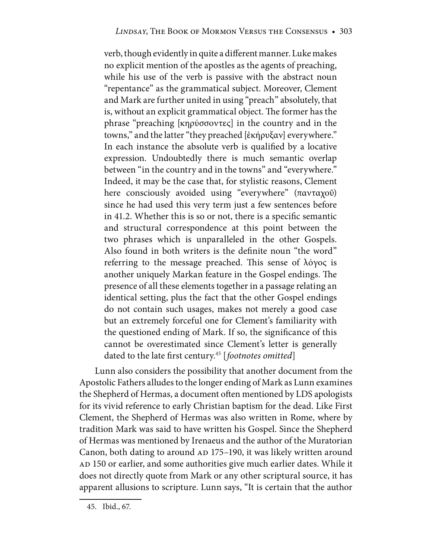verb, though evidently in quite a different manner. Luke makes no explicit mention of the apostles as the agents of preaching, while his use of the verb is passive with the abstract noun "repentance" as the grammatical subject. Moreover, Clement and Mark are further united in using "preach" absolutely, that is, without an explicit grammatical object. The former has the phrase "preaching [κηρύσσοντες] in the country and in the towns," and the latter "they preached [ἐκήρυξαν] everywhere." In each instance the absolute verb is qualified by a locative expression. Undoubtedly there is much semantic overlap between "in the country and in the towns" and "everywhere." Indeed, it may be the case that, for stylistic reasons, Clement here consciously avoided using "everywhere" (πανταχοῦ) since he had used this very term just a few sentences before in 41.2. Whether this is so or not, there is a specific semantic and structural correspondence at this point between the two phrases which is unparalleled in the other Gospels. Also found in both writers is the definite noun "the word" referring to the message preached. This sense of λόγος is another uniquely Markan feature in the Gospel endings. The presence of all these elements together in a passage relating an identical setting, plus the fact that the other Gospel endings do not contain such usages, makes not merely a good case but an extremely forceful one for Clement's familiarity with the questioned ending of Mark. If so, the significance of this cannot be overestimated since Clement's letter is generally dated to the late first century.45 [*footnotes omitted*]

Lunn also considers the possibility that another document from the Apostolic Fathers alludes to the longer ending of Mark as Lunn examines the Shepherd of Hermas, a document often mentioned by LDS apologists for its vivid reference to early Christian baptism for the dead. Like First Clement, the Shepherd of Hermas was also written in Rome, where by tradition Mark was said to have written his Gospel. Since the Shepherd of Hermas was mentioned by Irenaeus and the author of the Muratorian Canon, both dating to around AD 175–190, it was likely written around AD 150 or earlier, and some authorities give much earlier dates. While it does not directly quote from Mark or any other scriptural source, it has apparent allusions to scripture. Lunn says, "It is certain that the author

 <sup>45.</sup> Ibid., 67.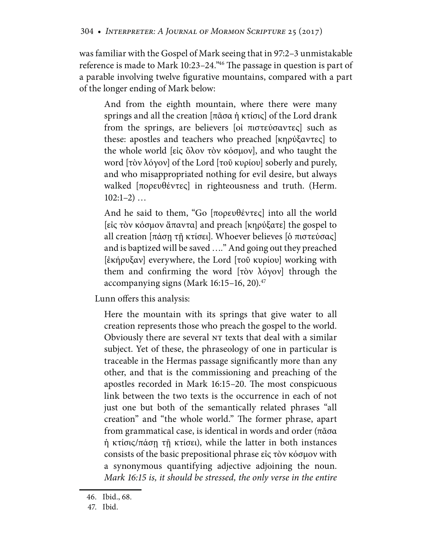was familiar with the Gospel of Mark seeing that in 97:2–3 unmistakable reference is made to Mark 10:23–24."46 The passage in question is part of a parable involving twelve figurative mountains, compared with a part of the longer ending of Mark below:

And from the eighth mountain, where there were many springs and all the creation [πᾶσα ἡ κτίσις] of the Lord drank from the springs, are believers [οἱ πιστεύσαντες] such as these: apostles and teachers who preached [κηρύξαντες] to the whole world [εἰς ὅλον τὸν κόσμον], and who taught the word [τὸν λόγον] of the Lord [τοῦ κυρίου] soberly and purely, and who misappropriated nothing for evil desire, but always walked [πορευθέντες] in righteousness and truth. (Herm.  $102:1-2)$  ...

And he said to them, "Go [πορευθέντες] into all the world [εἰς τὸν κόσμον ἅπαντα] and preach [κηρύξατε] the gospel to all creation [πάσῃ τῇ κτίσει]. Whoever believes [ὁ πιστεύσας] and is baptized will be saved …*.*" And going out they preached [ἐκήρυξαν] everywhere, the Lord [τοῦ κυρίου] working with them and confirming the word [τὸν λόγον] through the accompanying signs (Mark  $16:15-16$ , 20).<sup>47</sup>

Lunn offers this analysis:

Here the mountain with its springs that give water to all creation represents those who preach the gospel to the world. Obviously there are several NT texts that deal with a similar subject. Yet of these, the phraseology of one in particular is traceable in the Hermas passage significantly more than any other, and that is the commissioning and preaching of the apostles recorded in Mark 16:15–20. The most conspicuous link between the two texts is the occurrence in each of not just one but both of the semantically related phrases "all creation" and "the whole world." The former phrase, apart from grammatical case, is identical in words and order (πᾶσα ἡ κτίσις/πάσῃ τῇ κτίσει), while the latter in both instances consists of the basic prepositional phrase εἰς τὸν κόσμον with a synonymous quantifying adjective adjoining the noun. *Mark 16:15 is, it should be stressed, the only verse in the entire* 

 <sup>46.</sup> Ibid., 68.

 <sup>47.</sup> Ibid.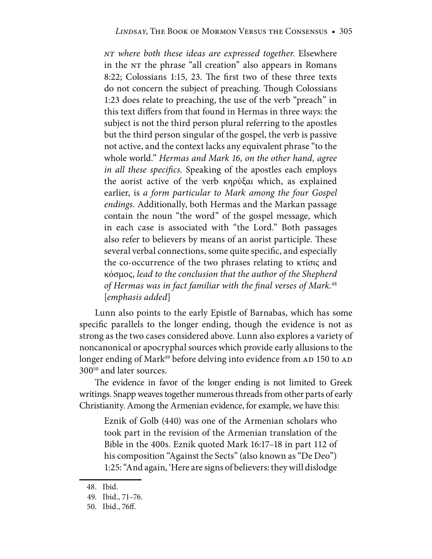*NT where both these ideas are expressed together.* Elsewhere in the NT the phrase "all creation" also appears in Romans 8:22; Colossians 1:15, 23. The first two of these three texts do not concern the subject of preaching. Though Colossians 1:23 does relate to preaching, the use of the verb "preach" in this text differs from that found in Hermas in three ways: the subject is not the third person plural referring to the apostles but the third person singular of the gospel, the verb is passive not active, and the context lacks any equivalent phrase "to the whole world." *Hermas and Mark 16, on the other hand, agree in all these specifics.* Speaking of the apostles each employs the aorist active of the verb κηρύξαι which, as explained earlier, is *a form particular to Mark among the four Gospel endings.* Additionally, both Hermas and the Markan passage contain the noun "the word" of the gospel message, which in each case is associated with "the Lord." Both passages also refer to believers by means of an aorist participle. These several verbal connections, some quite specific, and especially the co-occurrence of the two phrases relating to κτίσις and κόσμος, *lead to the conclusion that the author of the Shepherd of Hermas was in fact familiar with the final verses of Mark*. 48 [*emphasis added*]

Lunn also points to the early Epistle of Barnabas, which has some specific parallels to the longer ending, though the evidence is not as strong as the two cases considered above. Lunn also explores a variety of noncanonical or apocryphal sources which provide early allusions to the longer ending of Mark<sup>49</sup> before delving into evidence from AD 150 to AD 30050 and later sources.

The evidence in favor of the longer ending is not limited to Greek writings. Snapp weaves together numerous threads from other parts of early Christianity. Among the Armenian evidence, for example, we have this:

Eznik of Golb (440) was one of the Armenian scholars who took part in the revision of the Armenian translation of the Bible in the 400s. Eznik quoted Mark 16:17–18 in part 112 of his composition "Against the Sects" (also known as "De Deo") 1:25: "And again, 'Here are signs of believers: they will dislodge

 <sup>48.</sup> Ibid.

 <sup>49.</sup> Ibid., 71–76.

 <sup>50.</sup> Ibid., 76ff.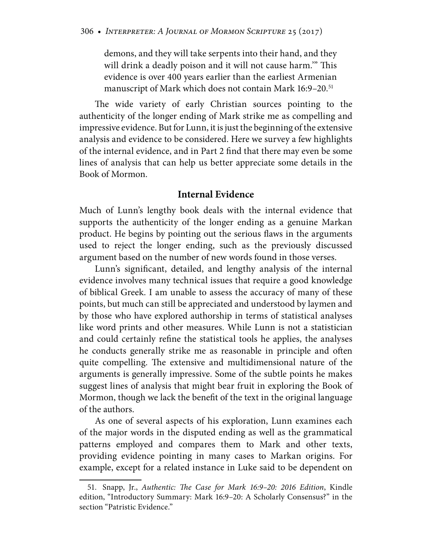demons, and they will take serpents into their hand, and they will drink a deadly poison and it will not cause harm.'" This evidence is over 400 years earlier than the earliest Armenian manuscript of Mark which does not contain Mark 16:9–20.<sup>51</sup>

The wide variety of early Christian sources pointing to the authenticity of the longer ending of Mark strike me as compelling and impressive evidence. But for Lunn, it is just the beginning of the extensive analysis and evidence to be considered. Here we survey a few highlights of the internal evidence, and in Part 2 find that there may even be some lines of analysis that can help us better appreciate some details in the Book of Mormon.

#### **Internal Evidence**

Much of Lunn's lengthy book deals with the internal evidence that supports the authenticity of the longer ending as a genuine Markan product. He begins by pointing out the serious flaws in the arguments used to reject the longer ending, such as the previously discussed argument based on the number of new words found in those verses.

Lunn's significant, detailed, and lengthy analysis of the internal evidence involves many technical issues that require a good knowledge of biblical Greek. I am unable to assess the accuracy of many of these points, but much can still be appreciated and understood by laymen and by those who have explored authorship in terms of statistical analyses like word prints and other measures. While Lunn is not a statistician and could certainly refine the statistical tools he applies, the analyses he conducts generally strike me as reasonable in principle and often quite compelling. The extensive and multidimensional nature of the arguments is generally impressive. Some of the subtle points he makes suggest lines of analysis that might bear fruit in exploring the Book of Mormon, though we lack the benefit of the text in the original language of the authors.

As one of several aspects of his exploration, Lunn examines each of the major words in the disputed ending as well as the grammatical patterns employed and compares them to Mark and other texts, providing evidence pointing in many cases to Markan origins. For example, except for a related instance in Luke said to be dependent on

 <sup>51.</sup> Snapp, Jr., *Authentic: The Case for Mark 16:9–20: 2016 Edition*, Kindle edition, "Introductory Summary: Mark 16:9–20: A Scholarly Consensus?" in the section "Patristic Evidence."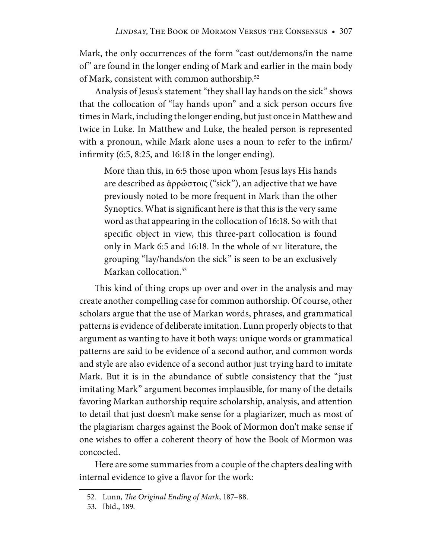Mark, the only occurrences of the form "cast out/demons/in the name of" are found in the longer ending of Mark and earlier in the main body of Mark, consistent with common authorship.52

Analysis of Jesus's statement "they shall lay hands on the sick" shows that the collocation of "lay hands upon" and a sick person occurs five times in Mark, including the longer ending, but just once in Matthew and twice in Luke. In Matthew and Luke, the healed person is represented with a pronoun, while Mark alone uses a noun to refer to the infirm/ infirmity (6:5, 8:25, and 16:18 in the longer ending).

More than this, in 6:5 those upon whom Jesus lays His hands are described as ἀρρώστοις ("sick"), an adjective that we have previously noted to be more frequent in Mark than the other Synoptics. What is significant here is that this is the very same word as that appearing in the collocation of 16:18. So with that specific object in view, this three-part collocation is found only in Mark 6:5 and 16:18. In the whole of NT literature, the grouping "lay/hands/on the sick" is seen to be an exclusively Markan collocation.<sup>53</sup>

This kind of thing crops up over and over in the analysis and may create another compelling case for common authorship. Of course, other scholars argue that the use of Markan words, phrases, and grammatical patterns is evidence of deliberate imitation. Lunn properly objects to that argument as wanting to have it both ways: unique words or grammatical patterns are said to be evidence of a second author, and common words and style are also evidence of a second author just trying hard to imitate Mark. But it is in the abundance of subtle consistency that the "just imitating Mark" argument becomes implausible, for many of the details favoring Markan authorship require scholarship, analysis, and attention to detail that just doesn't make sense for a plagiarizer, much as most of the plagiarism charges against the Book of Mormon don't make sense if one wishes to offer a coherent theory of how the Book of Mormon was concocted.

Here are some summaries from a couple of the chapters dealing with internal evidence to give a flavor for the work:

 <sup>52.</sup> Lunn, *The Original Ending of Mark*, 187–88.

 <sup>53.</sup> Ibid., 189.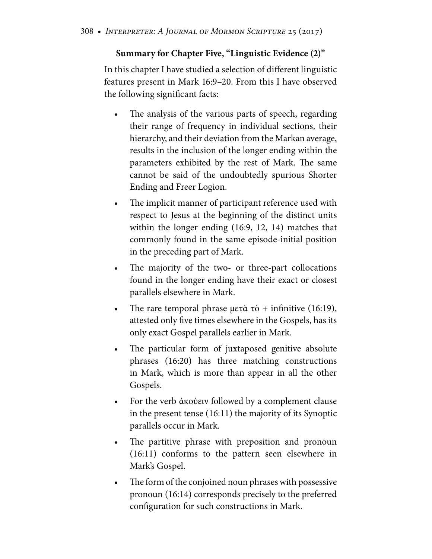#### **Summary for Chapter Five, "Linguistic Evidence (2)"**

In this chapter I have studied a selection of different linguistic features present in Mark 16:9–20. From this I have observed the following significant facts:

- The analysis of the various parts of speech, regarding their range of frequency in individual sections, their hierarchy, and their deviation from the Markan average, results in the inclusion of the longer ending within the parameters exhibited by the rest of Mark. The same cannot be said of the undoubtedly spurious Shorter Ending and Freer Logion.
- The implicit manner of participant reference used with respect to Jesus at the beginning of the distinct units within the longer ending (16:9, 12, 14) matches that commonly found in the same episode-initial position in the preceding part of Mark.
- The majority of the two- or three-part collocations found in the longer ending have their exact or closest parallels elsewhere in Mark.
- The rare temporal phrase μετὰ τὸ + infinitive  $(16:19)$ , attested only five times elsewhere in the Gospels, has its only exact Gospel parallels earlier in Mark.
- The particular form of juxtaposed genitive absolute phrases (16:20) has three matching constructions in Mark, which is more than appear in all the other Gospels.
- For the verb ἀκούειν followed by a complement clause in the present tense (16:11) the majority of its Synoptic parallels occur in Mark.
- The partitive phrase with preposition and pronoun (16:11) conforms to the pattern seen elsewhere in Mark's Gospel.
- The form of the conjoined noun phrases with possessive pronoun (16:14) corresponds precisely to the preferred configuration for such constructions in Mark.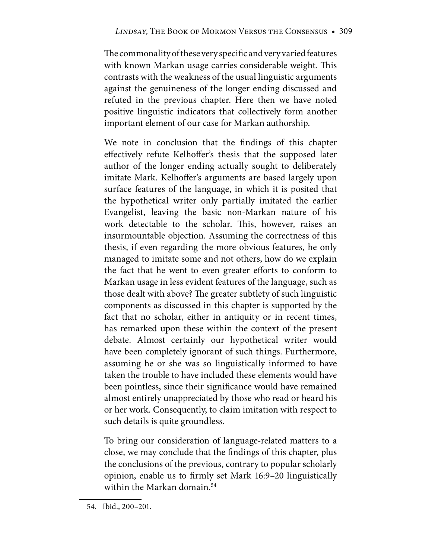The commonality of these very specific and very varied features with known Markan usage carries considerable weight. This contrasts with the weakness of the usual linguistic arguments against the genuineness of the longer ending discussed and refuted in the previous chapter. Here then we have noted positive linguistic indicators that collectively form another important element of our case for Markan authorship.

We note in conclusion that the findings of this chapter effectively refute Kelhoffer's thesis that the supposed later author of the longer ending actually sought to deliberately imitate Mark. Kelhoffer's arguments are based largely upon surface features of the language, in which it is posited that the hypothetical writer only partially imitated the earlier Evangelist, leaving the basic non-Markan nature of his work detectable to the scholar. This, however, raises an insurmountable objection. Assuming the correctness of this thesis, if even regarding the more obvious features, he only managed to imitate some and not others, how do we explain the fact that he went to even greater efforts to conform to Markan usage in less evident features of the language, such as those dealt with above? The greater subtlety of such linguistic components as discussed in this chapter is supported by the fact that no scholar, either in antiquity or in recent times, has remarked upon these within the context of the present debate. Almost certainly our hypothetical writer would have been completely ignorant of such things. Furthermore, assuming he or she was so linguistically informed to have taken the trouble to have included these elements would have been pointless, since their significance would have remained almost entirely unappreciated by those who read or heard his or her work. Consequently, to claim imitation with respect to such details is quite groundless.

To bring our consideration of language-related matters to a close, we may conclude that the findings of this chapter, plus the conclusions of the previous, contrary to popular scholarly opinion, enable us to firmly set Mark 16:9–20 linguistically within the Markan domain.<sup>54</sup>

 <sup>54.</sup> Ibid., 200–201.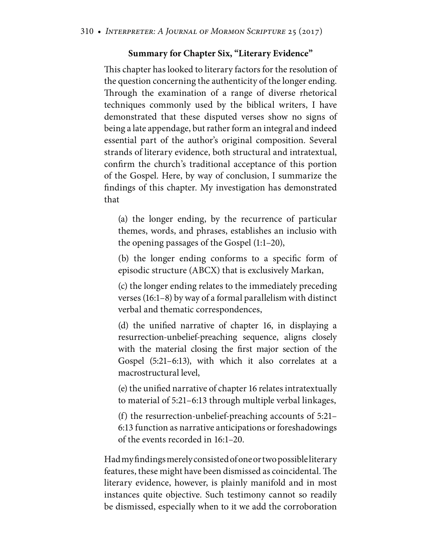#### **Summary for Chapter Six, "Literary Evidence"**

This chapter has looked to literary factors for the resolution of the question concerning the authenticity of the longer ending. Through the examination of a range of diverse rhetorical techniques commonly used by the biblical writers, I have demonstrated that these disputed verses show no signs of being a late appendage, but rather form an integral and indeed essential part of the author's original composition. Several strands of literary evidence, both structural and intratextual, confirm the church's traditional acceptance of this portion of the Gospel. Here, by way of conclusion, I summarize the findings of this chapter. My investigation has demonstrated that

(a) the longer ending, by the recurrence of particular themes, words, and phrases, establishes an inclusio with the opening passages of the Gospel (1:1–20),

(b) the longer ending conforms to a specific form of episodic structure (ABCX) that is exclusively Markan,

(c) the longer ending relates to the immediately preceding verses (16:1–8) by way of a formal parallelism with distinct verbal and thematic correspondences,

(d) the unified narrative of chapter 16, in displaying a resurrection-unbelief-preaching sequence, aligns closely with the material closing the first major section of the Gospel (5:21–6:13), with which it also correlates at a macrostructural level,

(e) the unified narrative of chapter 16 relates intratextually to material of 5:21–6:13 through multiple verbal linkages,

(f) the resurrection-unbelief-preaching accounts of 5:21– 6:13 function as narrative anticipations or foreshadowings of the events recorded in 16:1–20.

Had my findings merely consisted of one or two possible literary features, these might have been dismissed as coincidental. The literary evidence, however, is plainly manifold and in most instances quite objective. Such testimony cannot so readily be dismissed, especially when to it we add the corroboration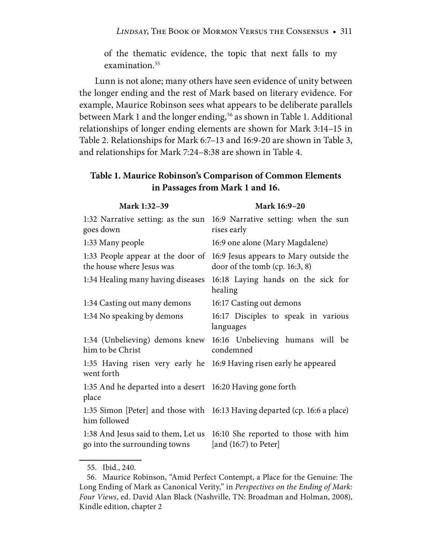of the thematic evidence, the topic that next falls to my examination.55

Lunn is not alone; many others have seen evidence of unity between the longer ending and the rest of Mark based on literary evidence. For example, Maurice Robinson sees what appears to be deliberate parallels between Mark 1 and the longer ending,<sup>56</sup> as shown in Table 1. Additional relationships of longer ending elements are shown for Mark 3:14–15 in Table 2. Relationships for Mark 6:7–13 and 16:9-20 are shown in Table 3, and relationships for Mark 7:24–8:38 are shown in Table 4.

#### **Table 1. Maurice Robinson's Comparison of Common Elements in Passages from Mark 1 and 16.**

| Mark 1:32-39                                                         | Mark 16:9-20                                                               |
|----------------------------------------------------------------------|----------------------------------------------------------------------------|
| 1:32 Narrative setting: as the sun<br>goes down                      | 16:9 Narrative setting: when the sun<br>rises early                        |
| 1:33 Many people                                                     | 16:9 one alone (Mary Magdalene)                                            |
| 1:33 People appear at the door of<br>the house where Jesus was       | 16:9 Jesus appears to Mary outside the<br>door of the tomb $(cp. 16:3, 8)$ |
| 1:34 Healing many having diseases                                    | 16:18 Laying hands on the sick for<br>healing                              |
| 1:34 Casting out many demons                                         | 16:17 Casting out demons                                                   |
| 1:34 No speaking by demons                                           | 16:17 Disciples to speak in various<br>languages                           |
| 1:34 (Unbelieving) demons knew<br>him to be Christ                   | 16:16 Unbelieving humans will be<br>condemned                              |
| went forth                                                           | 1:35 Having risen very early he 16:9 Having risen early he appeared        |
| 1:35 And he departed into a desert 16:20 Having gone forth<br>place  |                                                                            |
| him followed                                                         | 1:35 Simon [Peter] and those with 16:13 Having departed (cp. 16:6 a place) |
| 1:38 And Jesus said to them, Let us<br>go into the surrounding towns | 16:10 She reported to those with him<br>[and $(16:7)$ to Peter]            |

55. Ibid., 240.

 <sup>56.</sup> Maurice Robinson, "Amid Perfect Contempt, a Place for the Genuine: The Long Ending of Mark as Canonical Verity," in *Perspectives on the Ending of Mark: Four Views*, ed. David Alan Black (Nashville, TN: Broadman and Holman, 2008), Kindle edition, chapter 2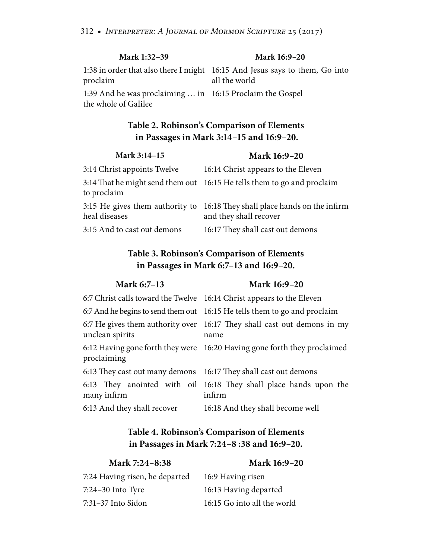| Mark 1:32-39                                                                      | Mark 16:9-20                                                                                 |
|-----------------------------------------------------------------------------------|----------------------------------------------------------------------------------------------|
| proclaim                                                                          | 1:38 in order that also there I might 16:15 And Jesus says to them, Go into<br>all the world |
| 1:39 And he was proclaiming  in 16:15 Proclaim the Gospel<br>the whole of Galilee |                                                                                              |

#### **Table 2. Robinson's Comparison of Elements in Passages in Mark 3:14–15 and 16:9–20.**

| Mark 3:14-15                | Mark 16:9-20                                                                                         |
|-----------------------------|------------------------------------------------------------------------------------------------------|
| 3:14 Christ appoints Twelve | 16:14 Christ appears to the Eleven                                                                   |
| to proclaim                 | 3:14 That he might send them out 16:15 He tells them to go and proclaim                              |
| heal diseases               | 3:15 He gives them authority to 16:18 They shall place hands on the infirm<br>and they shall recover |
| 3:15 And to cast out demons | 16:17 They shall cast out demons                                                                     |

#### **Table 3. Robinson's Comparison of Elements in Passages in Mark 6:7–13 and 16:9–20.**

|  | <b>Mark 6:7–13</b> |
|--|--------------------|
|--|--------------------|

#### **Mark 16:9–20**

|                                                                 | 6:7 Christ calls toward the Twelve 16:14 Christ appears to the Eleven           |
|-----------------------------------------------------------------|---------------------------------------------------------------------------------|
|                                                                 | 6:7 And he begins to send them out 16:15 He tells them to go and proclaim       |
| unclean spirits                                                 | 6:7 He gives them authority over 16:17 They shall cast out demons in my<br>name |
| proclaiming                                                     | 6:12 Having gone forth they were 16:20 Having gone forth they proclaimed        |
| 6:13 They cast out many demons 16:17 They shall cast out demons |                                                                                 |
| many infirm                                                     | 6:13 They anointed with oil 16:18 They shall place hands upon the<br>infirm     |
| 6:13 And they shall recover                                     | 16:18 And they shall become well                                                |

#### **Table 4. Robinson's Comparison of Elements in Passages in Mark 7:24–8 :38 and 16:9–20.**

#### **Mark 7:24–8:38 Mark 16:9–20**

the world

| 7:24 Having risen, he departed | 16:9 Having risen        |
|--------------------------------|--------------------------|
| 7:24–30 Into Tyre              | 16:13 Having departed    |
| 7:31–37 Into Sidon             | 16:15 Go into all the wo |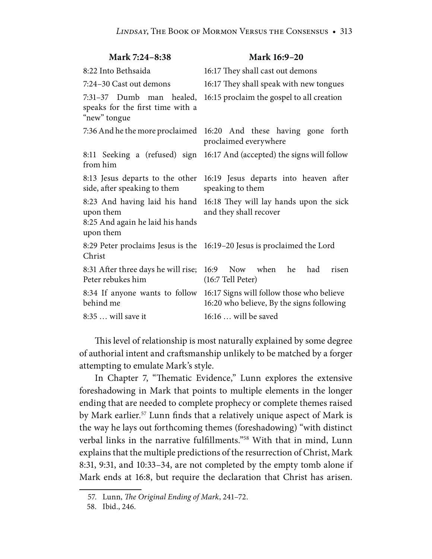| Mark 7:24-8:38                                                                              | Mark 16:9-20                                                                               |
|---------------------------------------------------------------------------------------------|--------------------------------------------------------------------------------------------|
| 8:22 Into Bethsaida                                                                         | 16:17 They shall cast out demons                                                           |
| 7:24-30 Cast out demons                                                                     | 16:17 They shall speak with new tongues                                                    |
| 7:31-37 Dumb man healed,<br>speaks for the first time with a<br>"new" tongue                | 16:15 proclaim the gospel to all creation                                                  |
|                                                                                             | 7:36 And he the more proclaimed 16:20 And these having gone forth<br>proclaimed everywhere |
| from him                                                                                    | 8:11 Seeking a (refused) sign 16:17 And (accepted) the signs will follow                   |
| 8:13 Jesus departs to the other<br>side, after speaking to them                             | 16:19 Jesus departs into heaven after<br>speaking to them                                  |
| 8:23 And having laid his hand<br>upon them<br>8:25 And again he laid his hands<br>upon them | 16:18 They will lay hands upon the sick<br>and they shall recover                          |
| Christ                                                                                      | 8:29 Peter proclaims Jesus is the 16:19-20 Jesus is proclaimed the Lord                    |
| 8:31 After three days he will rise;<br>Peter rebukes him                                    | Now when he<br>16:9<br>had<br>risen<br>(16:7 Tell Peter)                                   |
| 8:34 If anyone wants to follow<br>behind me                                                 | 16:17 Signs will follow those who believe<br>16:20 who believe, By the signs following     |
| 8:35  will save it                                                                          | 16:16  will be saved                                                                       |

This level of relationship is most naturally explained by some degree of authorial intent and craftsmanship unlikely to be matched by a forger attempting to emulate Mark's style.

In Chapter 7, "Thematic Evidence," Lunn explores the extensive foreshadowing in Mark that points to multiple elements in the longer ending that are needed to complete prophecy or complete themes raised by Mark earlier.<sup>57</sup> Lunn finds that a relatively unique aspect of Mark is the way he lays out forthcoming themes (foreshadowing) "with distinct verbal links in the narrative fulfillments."58 With that in mind, Lunn explains that the multiple predictions of the resurrection of Christ, Mark 8:31, 9:31, and 10:33–34, are not completed by the empty tomb alone if Mark ends at 16:8, but require the declaration that Christ has arisen.

 <sup>57.</sup> Lunn, *The Original Ending of Mark*, 241–72.

 <sup>58.</sup> Ibid., 246.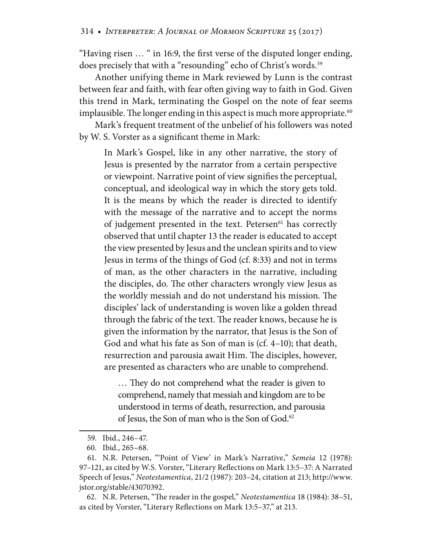"Having risen … " in 16:9, the first verse of the disputed longer ending, does precisely that with a "resounding" echo of Christ's words.<sup>59</sup>

Another unifying theme in Mark reviewed by Lunn is the contrast between fear and faith, with fear often giving way to faith in God. Given this trend in Mark, terminating the Gospel on the note of fear seems implausible. The longer ending in this aspect is much more appropriate.<sup>60</sup>

Mark's frequent treatment of the unbelief of his followers was noted by W. S. Vorster as a significant theme in Mark:

In Mark's Gospel, like in any other narrative, the story of Jesus is presented by the narrator from a certain perspective or viewpoint. Narrative point of view signifies the perceptual, conceptual, and ideological way in which the story gets told. It is the means by which the reader is directed to identify with the message of the narrative and to accept the norms of judgement presented in the text. Petersen<sup>61</sup> has correctly observed that until chapter 13 the reader is educated to accept the view presented by Jesus and the unclean spirits and to view Jesus in terms of the things of God (cf. 8:33) and not in terms of man, as the other characters in the narrative, including the disciples, do. The other characters wrongly view Jesus as the worldly messiah and do not understand his mission. The disciples' lack of understanding is woven like a golden thread through the fabric of the text. The reader knows, because he is given the information by the narrator, that Jesus is the Son of God and what his fate as Son of man is (cf. 4–10); that death, resurrection and parousia await Him. The disciples, however, are presented as characters who are unable to comprehend.

… They do not comprehend what the reader is given to comprehend, namely that messiah and kingdom are to be understood in terms of death, resurrection, and parousia of Jesus, the Son of man who is the Son of God.<sup>62</sup>

 62. N.R. Petersen, "The reader in the gospel," *Neotestamentica* 18 (1984): 38–51, as cited by Vorster, "Literary Reflections on Mark 13:5–37," at 213.

 <sup>59.</sup> Ibid., 246–47.

 <sup>60.</sup> Ibid., 265–68.

 <sup>61.</sup> N.R. Petersen, "'Point of View' in Mark's Narrative," *Semeia* 12 (1978): 97–121, as cited by W.S. Vorster, "Literary Reflections on Mark 13:5–37: A Narrated Speech of Jesus," *Neotestamentica*, 21/2 (1987): 203–24, citation at 213; http://www. jstor.org/stable/43070392.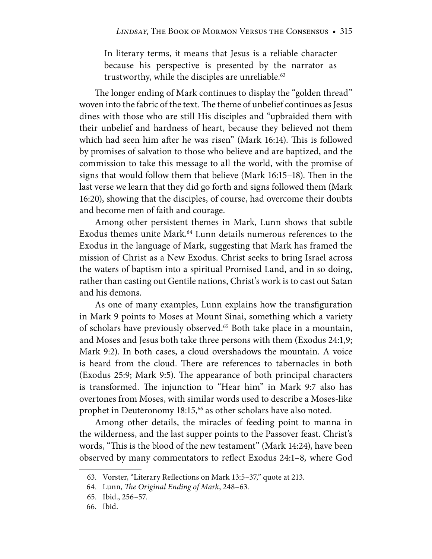In literary terms, it means that Jesus is a reliable character because his perspective is presented by the narrator as trustworthy, while the disciples are unreliable.<sup>63</sup>

The longer ending of Mark continues to display the "golden thread" woven into the fabric of the text. The theme of unbelief continues as Jesus dines with those who are still His disciples and "upbraided them with their unbelief and hardness of heart, because they believed not them which had seen him after he was risen" (Mark 16:14). This is followed by promises of salvation to those who believe and are baptized, and the commission to take this message to all the world, with the promise of signs that would follow them that believe (Mark 16:15–18). Then in the last verse we learn that they did go forth and signs followed them (Mark 16:20), showing that the disciples, of course, had overcome their doubts and become men of faith and courage.

Among other persistent themes in Mark, Lunn shows that subtle Exodus themes unite Mark.<sup>64</sup> Lunn details numerous references to the Exodus in the language of Mark, suggesting that Mark has framed the mission of Christ as a New Exodus. Christ seeks to bring Israel across the waters of baptism into a spiritual Promised Land, and in so doing, rather than casting out Gentile nations, Christ's work is to cast out Satan and his demons.

As one of many examples, Lunn explains how the transfiguration in Mark 9 points to Moses at Mount Sinai, something which a variety of scholars have previously observed.65 Both take place in a mountain, and Moses and Jesus both take three persons with them (Exodus 24:1,9; Mark 9:2). In both cases, a cloud overshadows the mountain. A voice is heard from the cloud. There are references to tabernacles in both (Exodus 25:9; Mark 9:5). The appearance of both principal characters is transformed. The injunction to "Hear him" in Mark 9:7 also has overtones from Moses, with similar words used to describe a Moses-like prophet in Deuteronomy 18:15,<sup>66</sup> as other scholars have also noted.

Among other details, the miracles of feeding point to manna in the wilderness, and the last supper points to the Passover feast. Christ's words, "This is the blood of the new testament" (Mark 14:24), have been observed by many commentators to reflect Exodus 24:1–8*,* where God

 <sup>63.</sup> Vorster, "Literary Reflections on Mark 13:5–37," quote at 213.

 <sup>64.</sup> Lunn, *The Original Ending of Mark*, 248–63.

 <sup>65.</sup> Ibid., 256–57.

 <sup>66.</sup> Ibid.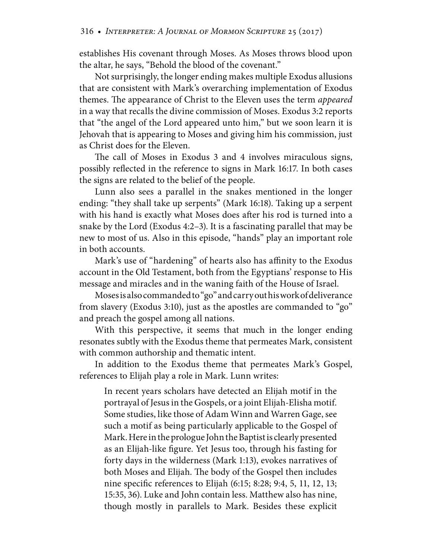establishes His covenant through Moses. As Moses throws blood upon the altar, he says, "Behold the blood of the covenant."

Not surprisingly, the longer ending makes multiple Exodus allusions that are consistent with Mark's overarching implementation of Exodus themes. The appearance of Christ to the Eleven uses the term *appeared* in a way that recalls the divine commission of Moses. Exodus 3:2 reports that "the angel of the Lord appeared unto him," but we soon learn it is Jehovah that is appearing to Moses and giving him his commission, just as Christ does for the Eleven.

The call of Moses in Exodus 3 and 4 involves miraculous signs, possibly reflected in the reference to signs in Mark 16:17. In both cases the signs are related to the belief of the people.

Lunn also sees a parallel in the snakes mentioned in the longer ending: "they shall take up serpents" (Mark 16:18). Taking up a serpent with his hand is exactly what Moses does after his rod is turned into a snake by the Lord (Exodus 4:2–3). It is a fascinating parallel that may be new to most of us. Also in this episode, "hands" play an important role in both accounts.

Mark's use of "hardening" of hearts also has affinity to the Exodus account in the Old Testament, both from the Egyptians' response to His message and miracles and in the waning faith of the House of Israel.

Moses is also commanded to "go" and carry out his work of deliverance from slavery (Exodus 3:10), just as the apostles are commanded to "go" and preach the gospel among all nations.

With this perspective, it seems that much in the longer ending resonates subtly with the Exodus theme that permeates Mark, consistent with common authorship and thematic intent.

In addition to the Exodus theme that permeates Mark's Gospel, references to Elijah play a role in Mark. Lunn writes:

In recent years scholars have detected an Elijah motif in the portrayal of Jesus in the Gospels, or a joint Elijah-Elisha motif. Some studies, like those of Adam Winn and Warren Gage, see such a motif as being particularly applicable to the Gospel of Mark. Here in the prologue John the Baptist is clearly presented as an Elijah-like figure. Yet Jesus too, through his fasting for forty days in the wilderness (Mark 1:13), evokes narratives of both Moses and Elijah. The body of the Gospel then includes nine specific references to Elijah (6:15; 8:28; 9:4, 5, 11, 12, 13; 15:35, 36). Luke and John contain less. Matthew also has nine, though mostly in parallels to Mark. Besides these explicit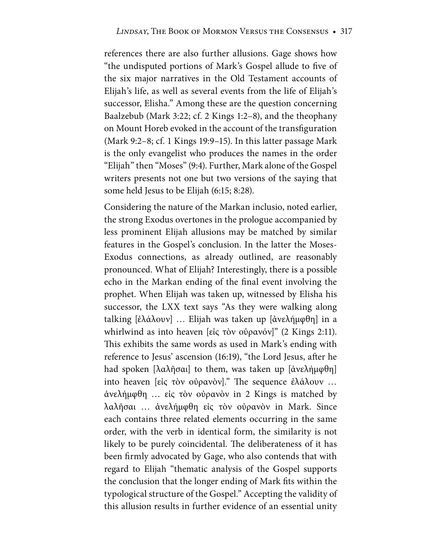references there are also further allusions. Gage shows how "the undisputed portions of Mark's Gospel allude to five of the six major narratives in the Old Testament accounts of Elijah's life, as well as several events from the life of Elijah's successor, Elisha." Among these are the question concerning Baalzebub (Mark 3:22; cf. 2 Kings 1:2–8), and the theophany on Mount Horeb evoked in the account of the transfiguration (Mark 9:2–8; cf. 1 Kings 19:9–15). In this latter passage Mark is the only evangelist who produces the names in the order "Elijah" then "Moses" (9:4). Further, Mark alone of the Gospel writers presents not one but two versions of the saying that some held Jesus to be Elijah (6:15; 8:28).

Considering the nature of the Markan inclusio, noted earlier, the strong Exodus overtones in the prologue accompanied by less prominent Elijah allusions may be matched by similar features in the Gospel's conclusion. In the latter the Moses-Exodus connections, as already outlined, are reasonably pronounced. What of Elijah? Interestingly, there is a possible echo in the Markan ending of the final event involving the prophet. When Elijah was taken up, witnessed by Elisha his successor, the LXX text says "As they were walking along talking [ἐλάλουν] … Elijah was taken up [ἀνελήμφθη] in a whirlwind as into heaven [εἰς τὸν οὐρανόν]" (2 Kings 2:11). This exhibits the same words as used in Mark's ending with reference to Jesus' ascension (16:19), "the Lord Jesus, after he had spoken [λαλῆσαι] to them, was taken up [ἀνελήμφθη] into heaven [εἰς τὸν οὐρανὸν]." The sequence ἐλάλουν … ἀνελήμφθη … εἰς τὸν οὐρανὸν in 2 Kings is matched by λαλῆσαι … ἀνελήμφθη εἰς τὸν οὐρανὸν in Mark. Since each contains three related elements occurring in the same order, with the verb in identical form, the similarity is not likely to be purely coincidental. The deliberateness of it has been firmly advocated by Gage, who also contends that with regard to Elijah "thematic analysis of the Gospel supports the conclusion that the longer ending of Mark fits within the typological structure of the Gospel." Accepting the validity of this allusion results in further evidence of an essential unity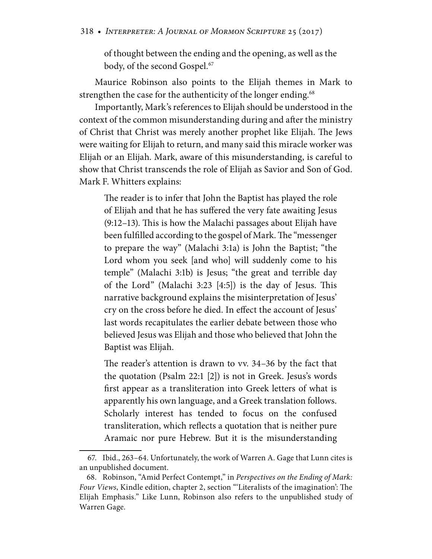of thought between the ending and the opening, as well as the body, of the second Gospel.<sup>67</sup>

Maurice Robinson also points to the Elijah themes in Mark to strengthen the case for the authenticity of the longer ending.<sup>68</sup>

Importantly, Mark's references to Elijah should be understood in the context of the common misunderstanding during and after the ministry of Christ that Christ was merely another prophet like Elijah. The Jews were waiting for Elijah to return, and many said this miracle worker was Elijah or an Elijah. Mark, aware of this misunderstanding, is careful to show that Christ transcends the role of Elijah as Savior and Son of God. Mark F. Whitters explains:

The reader is to infer that John the Baptist has played the role of Elijah and that he has suffered the very fate awaiting Jesus (9:12–13). This is how the Malachi passages about Elijah have been fulfilled according to the gospel of Mark. The "messenger to prepare the way" (Malachi 3:1a) is John the Baptist; "the Lord whom you seek [and who] will suddenly come to his temple" (Malachi 3:1b) is Jesus; "the great and terrible day of the Lord" (Malachi 3:23 [4:5]) is the day of Jesus. This narrative background explains the misinterpretation of Jesus' cry on the cross before he died. In effect the account of Jesus' last words recapitulates the earlier debate between those who believed Jesus was Elijah and those who believed that John the Baptist was Elijah.

The reader's attention is drawn to vv. 34–36 by the fact that the quotation (Psalm 22:1 [2]) is not in Greek. Jesus's words first appear as a transliteration into Greek letters of what is apparently his own language, and a Greek translation follows. Scholarly interest has tended to focus on the confused transliteration, which reflects a quotation that is neither pure Aramaic nor pure Hebrew. But it is the misunderstanding

 <sup>67.</sup> Ibid., 263–64. Unfortunately, the work of Warren A. Gage that Lunn cites is an unpublished document.

 <sup>68.</sup> Robinson, "Amid Perfect Contempt," in *Perspectives on the Ending of Mark: Four Views*, Kindle edition, chapter 2, section "'Literalists of the imagination': The Elijah Emphasis." Like Lunn, Robinson also refers to the unpublished study of Warren Gage.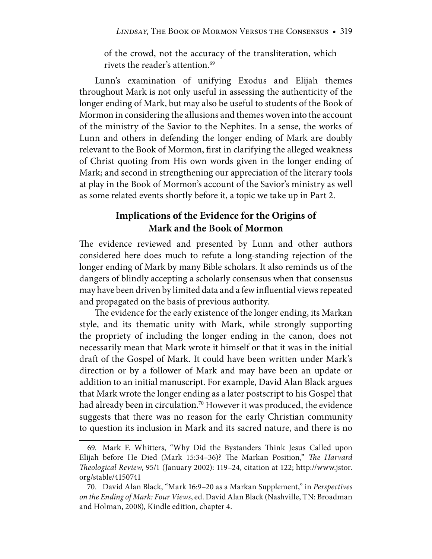of the crowd, not the accuracy of the transliteration, which rivets the reader's attention.<sup>69</sup>

Lunn's examination of unifying Exodus and Elijah themes throughout Mark is not only useful in assessing the authenticity of the longer ending of Mark, but may also be useful to students of the Book of Mormon in considering the allusions and themes woven into the account of the ministry of the Savior to the Nephites. In a sense, the works of Lunn and others in defending the longer ending of Mark are doubly relevant to the Book of Mormon, first in clarifying the alleged weakness of Christ quoting from His own words given in the longer ending of Mark; and second in strengthening our appreciation of the literary tools at play in the Book of Mormon's account of the Savior's ministry as well as some related events shortly before it, a topic we take up in Part 2.

#### **Implications of the Evidence for the Origins of Mark and the Book of Mormon**

The evidence reviewed and presented by Lunn and other authors considered here does much to refute a long-standing rejection of the longer ending of Mark by many Bible scholars. It also reminds us of the dangers of blindly accepting a scholarly consensus when that consensus may have been driven by limited data and a few influential views repeated and propagated on the basis of previous authority.

The evidence for the early existence of the longer ending, its Markan style, and its thematic unity with Mark, while strongly supporting the propriety of including the longer ending in the canon, does not necessarily mean that Mark wrote it himself or that it was in the initial draft of the Gospel of Mark. It could have been written under Mark's direction or by a follower of Mark and may have been an update or addition to an initial manuscript. For example, David Alan Black argues that Mark wrote the longer ending as a later postscript to his Gospel that had already been in circulation.<sup>70</sup> However it was produced, the evidence suggests that there was no reason for the early Christian community to question its inclusion in Mark and its sacred nature, and there is no

 <sup>69.</sup> Mark F. Whitters, "Why Did the Bystanders Think Jesus Called upon Elijah before He Died (Mark 15:34–36)? The Markan Position," *The Harvard Theological Review*, 95/1 (January 2002): 119–24, citation at 122; http://www.jstor. org/stable/4150741

 <sup>70.</sup> David Alan Black, "Mark 16:9–20 as a Markan Supplement," in *Perspectives on the Ending of Mark: Four Views*, ed. David Alan Black (Nashville, TN: Broadman and Holman, 2008), Kindle edition, chapter 4.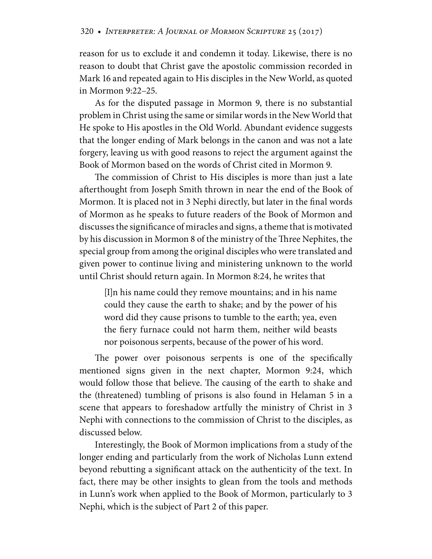reason for us to exclude it and condemn it today. Likewise, there is no reason to doubt that Christ gave the apostolic commission recorded in Mark 16 and repeated again to His disciples in the New World, as quoted in Mormon 9:22–25.

As for the disputed passage in Mormon 9, there is no substantial problem in Christ using the same or similar words in the New World that He spoke to His apostles in the Old World. Abundant evidence suggests that the longer ending of Mark belongs in the canon and was not a late forgery, leaving us with good reasons to reject the argument against the Book of Mormon based on the words of Christ cited in Mormon 9.

The commission of Christ to His disciples is more than just a late afterthought from Joseph Smith thrown in near the end of the Book of Mormon. It is placed not in 3 Nephi directly, but later in the final words of Mormon as he speaks to future readers of the Book of Mormon and discusses the significance of miracles and signs, a theme that is motivated by his discussion in Mormon 8 of the ministry of the Three Nephites, the special group from among the original disciples who were translated and given power to continue living and ministering unknown to the world until Christ should return again. In Mormon 8:24, he writes that

[I]n his name could they remove mountains; and in his name could they cause the earth to shake; and by the power of his word did they cause prisons to tumble to the earth; yea, even the fiery furnace could not harm them, neither wild beasts nor poisonous serpents, because of the power of his word.

The power over poisonous serpents is one of the specifically mentioned signs given in the next chapter, Mormon 9:24, which would follow those that believe. The causing of the earth to shake and the (threatened) tumbling of prisons is also found in Helaman 5 in a scene that appears to foreshadow artfully the ministry of Christ in 3 Nephi with connections to the commission of Christ to the disciples, as discussed below.

Interestingly, the Book of Mormon implications from a study of the longer ending and particularly from the work of Nicholas Lunn extend beyond rebutting a significant attack on the authenticity of the text. In fact, there may be other insights to glean from the tools and methods in Lunn's work when applied to the Book of Mormon, particularly to 3 Nephi, which is the subject of Part 2 of this paper.